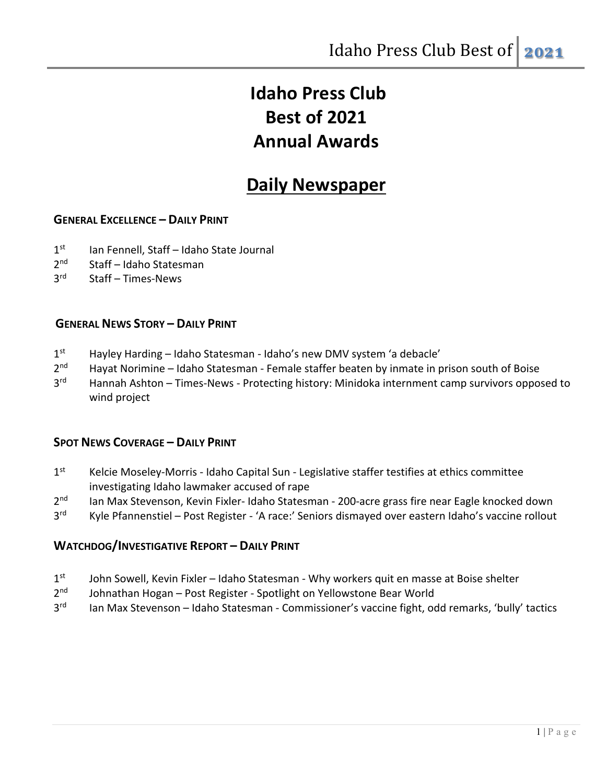# **Idaho Press Club Best of 2021 Annual Awards**

## **Daily Newspaper**

## **GENERAL EXCELLENCE – DAILY PRINT**

- 1<sup>st</sup> Ian Fennell, Staff Idaho State Journal
- 2nd Staff Idaho Statesman
- 3rd Staff Times-News

### **GENERAL NEWS STORY – DAILY PRINT**

- 1<sup>st</sup> Hayley Harding Idaho Statesman Idaho's new DMV system 'a debacle'
- $2<sup>nd</sup>$  Hayat Norimine Idaho Statesman Female staffer beaten by inmate in prison south of Boise
- 3<sup>rd</sup> Hannah Ashton Times-News Protecting history: Minidoka internment camp survivors opposed to wind project

#### **SPOT NEWS COVERAGE – DAILY PRINT**

- 1<sup>st</sup> Kelcie Moseley-Morris Idaho Capital Sun Legislative staffer testifies at ethics committee investigating Idaho lawmaker accused of rape
- 2<sup>nd</sup> Ian Max Stevenson, Kevin Fixler- Idaho Statesman 200-acre grass fire near Eagle knocked down
- 3<sup>rd</sup> Kyle Pfannenstiel Post Register 'A race:' Seniors dismayed over eastern Idaho's vaccine rollout

#### **WATCHDOG/INVESTIGATIVE REPORT – DAILY PRINT**

- $1<sup>st</sup>$  John Sowell, Kevin Fixler Idaho Statesman Why workers quit en masse at Boise shelter
- 2<sup>nd</sup> Johnathan Hogan Post Register Spotlight on Yellowstone Bear World
- 3<sup>rd</sup> Ian Max Stevenson Idaho Statesman Commissioner's vaccine fight, odd remarks, 'bully' tactics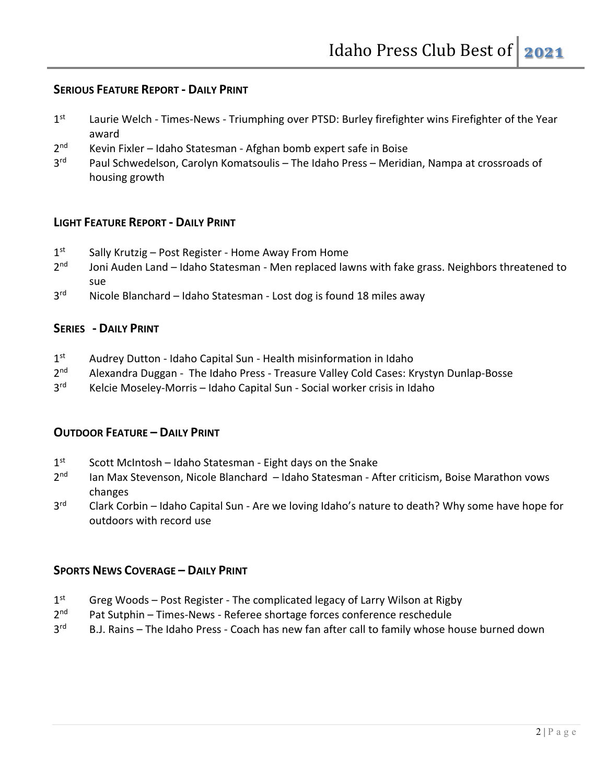## **SERIOUS FEATURE REPORT - DAILY PRINT**

- 1st Laurie Welch Times-News Triumphing over PTSD: Burley firefighter wins Firefighter of the Year award
- 2<sup>nd</sup> Kevin Fixler Idaho Statesman Afghan bomb expert safe in Boise
- 3<sup>rd</sup> Paul Schwedelson, Carolyn Komatsoulis The Idaho Press Meridian, Nampa at crossroads of housing growth

## **LIGHT FEATURE REPORT - DAILY PRINT**

- $1<sup>st</sup>$  Sally Krutzig Post Register Home Away From Home
- $2<sup>nd</sup>$  Joni Auden Land Idaho Statesman Men replaced lawns with fake grass. Neighbors threatened to sue
- 3<sup>rd</sup> Nicole Blanchard Idaho Statesman Lost dog is found 18 miles away

## **SERIES - DAILY PRINT**

- 1<sup>st</sup> Audrey Dutton Idaho Capital Sun Health misinformation in Idaho
- 2<sup>nd</sup> Alexandra Duggan The Idaho Press Treasure Valley Cold Cases: Krystyn Dunlap-Bosse
- 3<sup>rd</sup> Kelcie Moseley-Morris Idaho Capital Sun Social worker crisis in Idaho

## **OUTDOOR FEATURE – DAILY PRINT**

- $1<sup>st</sup>$  Scott McIntosh Idaho Statesman Eight days on the Snake
- 2<sup>nd</sup> Ian Max Stevenson, Nicole Blanchard Idaho Statesman After criticism, Boise Marathon vows changes
- 3<sup>rd</sup> Clark Corbin Idaho Capital Sun Are we loving Idaho's nature to death? Why some have hope for outdoors with record use

## **SPORTS NEWS COVERAGE – DAILY PRINT**

- $1<sup>st</sup>$  Greg Woods Post Register The complicated legacy of Larry Wilson at Rigby
- $2<sup>nd</sup>$  Pat Sutphin Times-News Referee shortage forces conference reschedule
- 3<sup>rd</sup> B.J. Rains The Idaho Press Coach has new fan after call to family whose house burned down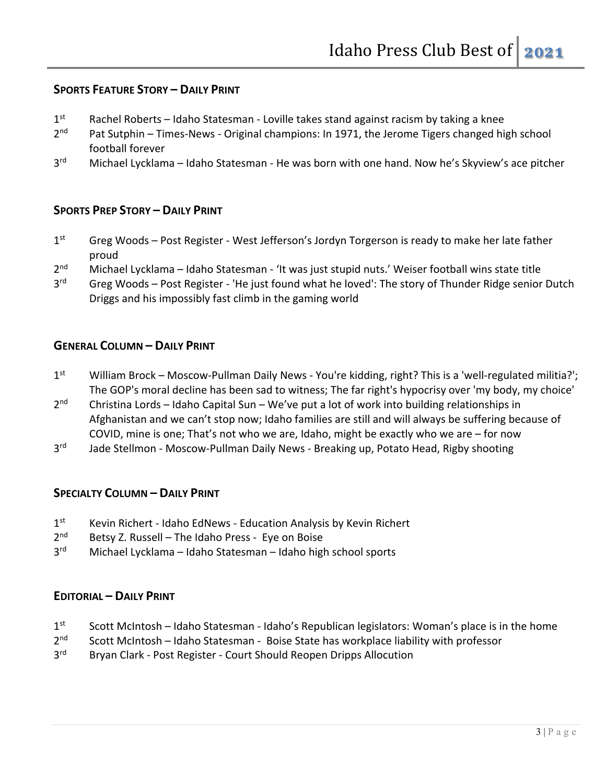## **SPORTS FEATURE STORY – DAILY PRINT**

- $1<sup>st</sup>$  Rachel Roberts Idaho Statesman Loville takes stand against racism by taking a knee
- 2<sup>nd</sup> Pat Sutphin Times-News Original champions: In 1971, the Jerome Tigers changed high school football forever
- 3<sup>rd</sup> Michael Lycklama Idaho Statesman He was born with one hand. Now he's Skyview's ace pitcher

## **SPORTS PREP STORY – DAILY PRINT**

- 1st Greg Woods Post Register West Jefferson's Jordyn Torgerson is ready to make her late father proud
- 2<sup>nd</sup> Michael Lycklama Idaho Statesman 'It was just stupid nuts.' Weiser football wins state title
- 3<sup>rd</sup> Greg Woods Post Register 'He just found what he loved': The story of Thunder Ridge senior Dutch Driggs and his impossibly fast climb in the gaming world

### **GENERAL COLUMN – DAILY PRINT**

- 1<sup>st</sup> William Brock Moscow-Pullman Daily News You're kidding, right? This is a 'well-regulated militia?'; The GOP's moral decline has been sad to witness; The far right's hypocrisy over 'my body, my choice'
- $2<sup>nd</sup>$  Christina Lords Idaho Capital Sun We've put a lot of work into building relationships in Afghanistan and we can't stop now; Idaho families are still and will always be suffering because of COVID, mine is one; That's not who we are, Idaho, might be exactly who we are – for now
- 3<sup>rd</sup> Jade Stellmon Moscow-Pullman Daily News Breaking up, Potato Head, Rigby shooting

## **SPECIALTY COLUMN – DAILY PRINT**

- 1<sup>st</sup> Kevin Richert Idaho EdNews Education Analysis by Kevin Richert
- $2<sup>nd</sup>$  Betsy Z. Russell The Idaho Press Eye on Boise
- 3rd Michael Lycklama Idaho Statesman Idaho high school sports

## **EDITORIAL – DAILY PRINT**

- $1<sup>st</sup>$  Scott McIntosh Idaho Statesman Idaho's Republican legislators: Woman's place is in the home
- $2<sup>nd</sup>$  Scott McIntosh Idaho Statesman Boise State has workplace liability with professor
- 3<sup>rd</sup> Bryan Clark Post Register Court Should Reopen Dripps Allocution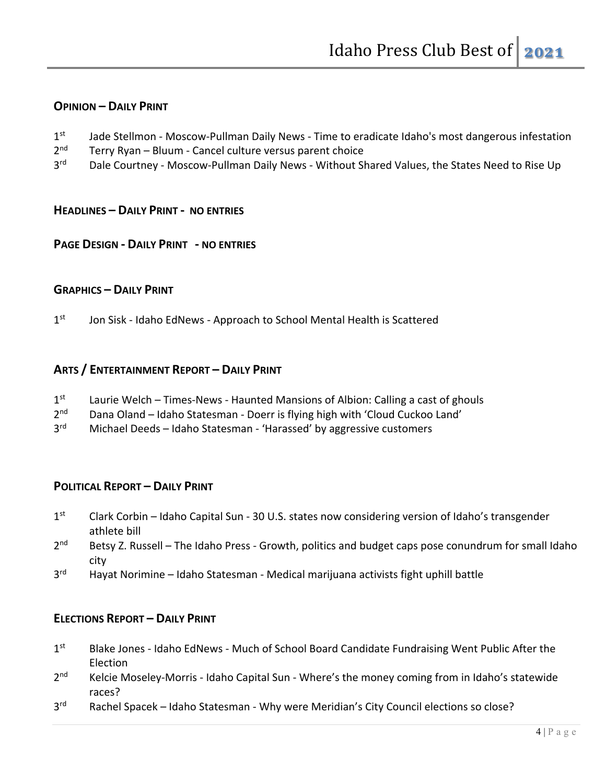## **OPINION – DAILY PRINT**

- 1<sup>st</sup> Jade Stellmon Moscow-Pullman Daily News Time to eradicate Idaho's most dangerous infestation
- $2<sup>nd</sup>$  Terry Ryan Bluum Cancel culture versus parent choice
- 3<sup>rd</sup> Dale Courtney Moscow-Pullman Daily News Without Shared Values, the States Need to Rise Up

#### **HEADLINES – DAILY PRINT - NO ENTRIES**

#### **PAGE DESIGN - DAILY PRINT - NO ENTRIES**

#### **GRAPHICS – DAILY PRINT**

1<sup>st</sup> Jon Sisk - Idaho EdNews - Approach to School Mental Health is Scattered

#### **ARTS / ENTERTAINMENT REPORT – DAILY PRINT**

- 1<sup>st</sup> Laurie Welch Times-News Haunted Mansions of Albion: Calling a cast of ghouls
- $2<sup>nd</sup>$  Dana Oland Idaho Statesman Doerr is flying high with 'Cloud Cuckoo Land'<br> $3<sup>rd</sup>$  Michael Deeds Idaho Statesman 'Harassed' by aggressive customers
- Michael Deeds Idaho Statesman 'Harassed' by aggressive customers

#### **POLITICAL REPORT – DAILY PRINT**

- 1<sup>st</sup> Clark Corbin Idaho Capital Sun 30 U.S. states now considering version of Idaho's transgender athlete bill
- $2<sup>nd</sup>$  Betsy Z. Russell The Idaho Press Growth, politics and budget caps pose conundrum for small Idaho city
- 3<sup>rd</sup> Hayat Norimine Idaho Statesman Medical marijuana activists fight uphill battle

#### **ELECTIONS REPORT – DAILY PRINT**

- 1st Blake Jones Idaho EdNews Much of School Board Candidate Fundraising Went Public After the Election
- 2<sup>nd</sup> Kelcie Moseley-Morris Idaho Capital Sun Where's the money coming from in Idaho's statewide races?
- 3<sup>rd</sup> Rachel Spacek Idaho Statesman Why were Meridian's City Council elections so close?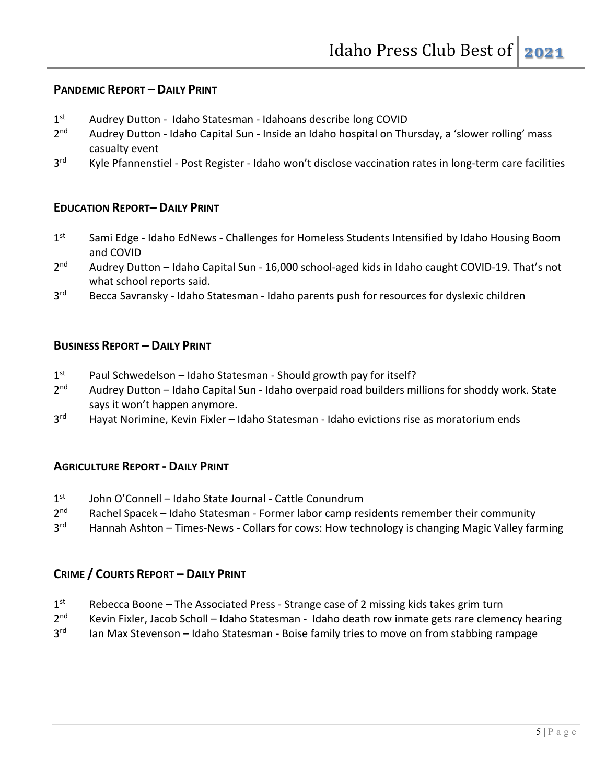## **PANDEMIC REPORT – DAILY PRINT**

- 1<sup>st</sup> Audrey Dutton Idaho Statesman Idahoans describe long COVID
- 2<sup>nd</sup> Audrey Dutton Idaho Capital Sun Inside an Idaho hospital on Thursday, a 'slower rolling' mass casualty event
- 3<sup>rd</sup> Kyle Pfannenstiel Post Register Idaho won't disclose vaccination rates in long-term care facilities

### **EDUCATION REPORT– DAILY PRINT**

- 1st Sami Edge Idaho EdNews Challenges for Homeless Students Intensified by Idaho Housing Boom and COVID
- 2<sup>nd</sup> Audrey Dutton Idaho Capital Sun 16,000 school-aged kids in Idaho caught COVID-19. That's not what school reports said.
- 3<sup>rd</sup> Becca Savransky Idaho Statesman Idaho parents push for resources for dyslexic children

#### **BUSINESS REPORT – DAILY PRINT**

- $1<sup>st</sup>$  Paul Schwedelson Idaho Statesman Should growth pay for itself?
- 2<sup>nd</sup> Audrey Dutton Idaho Capital Sun Idaho overpaid road builders millions for shoddy work. State says it won't happen anymore.
- 3<sup>rd</sup> Hayat Norimine, Kevin Fixler Idaho Statesman Idaho evictions rise as moratorium ends

#### **AGRICULTURE REPORT - DAILY PRINT**

- 1<sup>st</sup> John O'Connell Idaho State Journal Cattle Conundrum
- $2<sup>nd</sup>$  Rachel Spacek Idaho Statesman Former labor camp residents remember their community
- 3<sup>rd</sup> Hannah Ashton Times-News Collars for cows: How technology is changing Magic Valley farming

#### **CRIME / COURTS REPORT – DAILY PRINT**

- $1<sup>st</sup>$  Rebecca Boone The Associated Press Strange case of 2 missing kids takes grim turn
- 2<sup>nd</sup> Kevin Fixler, Jacob Scholl Idaho Statesman Idaho death row inmate gets rare clemency hearing
- 3<sup>rd</sup> Ian Max Stevenson Idaho Statesman Boise family tries to move on from stabbing rampage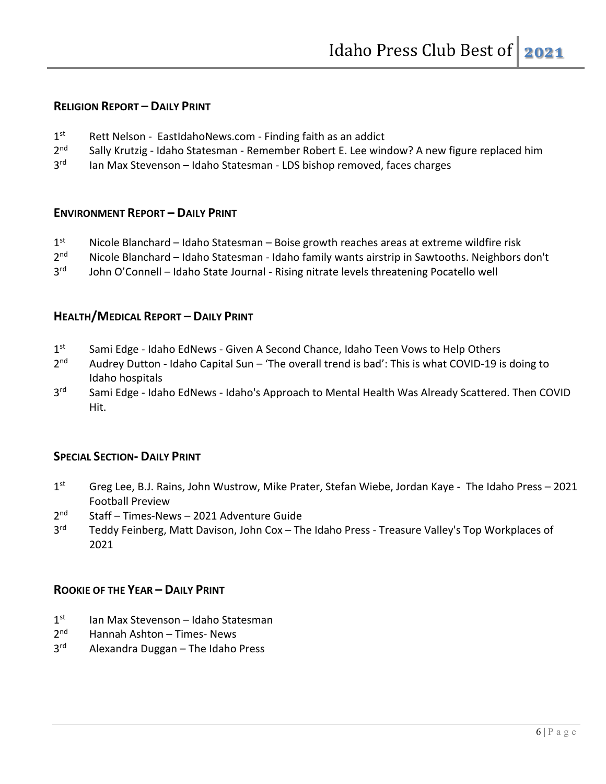## **RELIGION REPORT – DAILY PRINT**

- 1<sup>st</sup> Rett Nelson EastIdahoNews.com Finding faith as an addict
- 2<sup>nd</sup> Sally Krutzig Idaho Statesman Remember Robert E. Lee window? A new figure replaced him
- 3<sup>rd</sup> Ian Max Stevenson Idaho Statesman LDS bishop removed, faces charges

#### **ENVIRONMENT REPORT – DAILY PRINT**

- $1<sup>st</sup>$  Nicole Blanchard Idaho Statesman Boise growth reaches areas at extreme wildfire risk
- 2<sup>nd</sup> Nicole Blanchard Idaho Statesman Idaho family wants airstrip in Sawtooths. Neighbors don't
- 3<sup>rd</sup> John O'Connell Idaho State Journal Rising nitrate levels threatening Pocatello well

#### **HEALTH/MEDICAL REPORT – DAILY PRINT**

- 1st Sami Edge Idaho EdNews Given A Second Chance, Idaho Teen Vows to Help Others
- $2^{nd}$  Audrey Dutton Idaho Capital Sun 'The overall trend is bad': This is what COVID-19 is doing to Idaho hospitals
- 3<sup>rd</sup> Sami Edge Idaho EdNews Idaho's Approach to Mental Health Was Already Scattered. Then COVID Hit.

#### **SPECIAL SECTION- DAILY PRINT**

- 1<sup>st</sup> Greg Lee, B.J. Rains, John Wustrow, Mike Prater, Stefan Wiebe, Jordan Kaye The Idaho Press 2021 Football Preview
- 2nd Staff Times-News 2021 Adventure Guide
- 3<sup>rd</sup> Teddy Feinberg, Matt Davison, John Cox The Idaho Press Treasure Valley's Top Workplaces of 2021

#### **ROOKIE OF THE YEAR – DAILY PRINT**

- $1<sup>st</sup>$  Ian Max Stevenson Idaho Statesman
- $2<sup>nd</sup>$  Hannah Ashton Times- News
- 3<sup>rd</sup> Alexandra Duggan The Idaho Press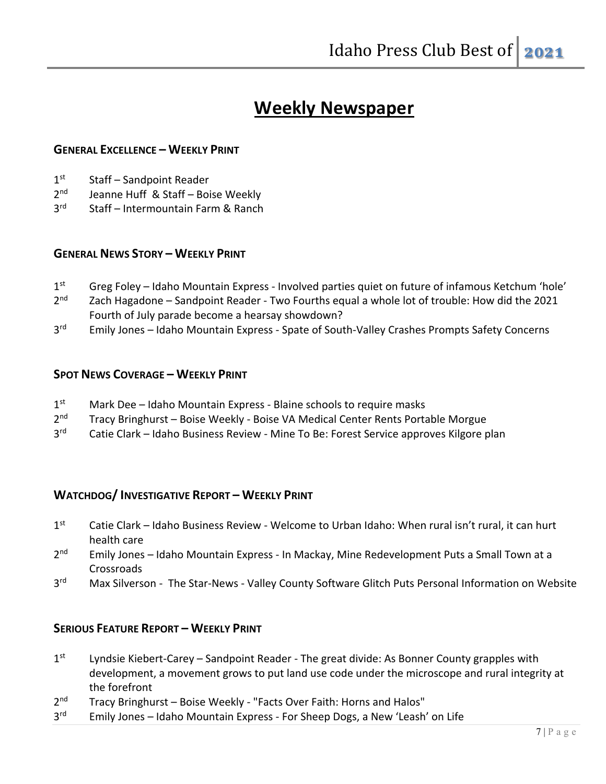## **Weekly Newspaper**

### **GENERAL EXCELLENCE – WEEKLY PRINT**

- $1<sup>st</sup>$  Staff Sandpoint Reader
- 2<sup>nd</sup> Jeanne Huff & Staff Boise Weekly
- 3<sup>rd</sup> Staff Intermountain Farm & Ranch

#### **GENERAL NEWS STORY – WEEKLY PRINT**

- 1<sup>st</sup> Greg Foley Idaho Mountain Express Involved parties quiet on future of infamous Ketchum 'hole'
- 2<sup>nd</sup> Zach Hagadone Sandpoint Reader Two Fourths equal a whole lot of trouble: How did the 2021 Fourth of July parade become a hearsay showdown?
- 3<sup>rd</sup> Emily Jones Idaho Mountain Express Spate of South-Valley Crashes Prompts Safety Concerns

#### **SPOT NEWS COVERAGE – WEEKLY PRINT**

- $1<sup>st</sup>$  Mark Dee Idaho Mountain Express Blaine schools to require masks
- 2<sup>nd</sup> Tracy Bringhurst Boise Weekly Boise VA Medical Center Rents Portable Morgue
- 3<sup>rd</sup> Catie Clark Idaho Business Review Mine To Be: Forest Service approves Kilgore plan

#### **WATCHDOG/ INVESTIGATIVE REPORT – WEEKLY PRINT**

- $1<sup>st</sup>$  Catie Clark Idaho Business Review Welcome to Urban Idaho: When rural isn't rural, it can hurt health care
- 2<sup>nd</sup> Emily Jones Idaho Mountain Express In Mackay, Mine Redevelopment Puts a Small Town at a **Crossroads**
- 3<sup>rd</sup> Max Silverson The Star-News Valley County Software Glitch Puts Personal Information on Website

#### **SERIOUS FEATURE REPORT – WEEKLY PRINT**

- $1<sup>st</sup>$  Lyndsie Kiebert-Carey Sandpoint Reader The great divide: As Bonner County grapples with development, a movement grows to put land use code under the microscope and rural integrity at the forefront
- 2<sup>nd</sup> Tracy Bringhurst Boise Weekly "Facts Over Faith: Horns and Halos"
- 3<sup>rd</sup> Emily Jones Idaho Mountain Express For Sheep Dogs, a New 'Leash' on Life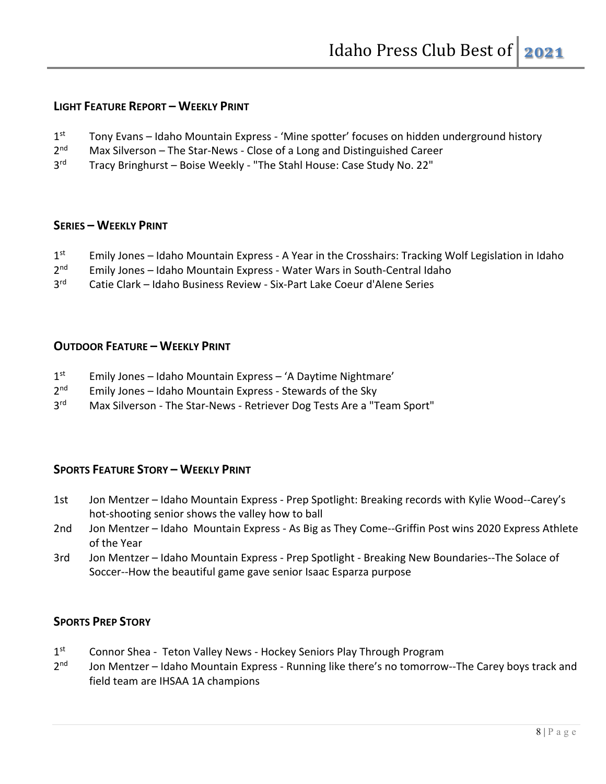## **LIGHT FEATURE REPORT – WEEKLY PRINT**

- $1<sup>st</sup>$  Tony Evans Idaho Mountain Express 'Mine spotter' focuses on hidden underground history
- 2<sup>nd</sup> Max Silverson The Star-News Close of a Long and Distinguished Career
- 3<sup>rd</sup> Tracy Bringhurst Boise Weekly "The Stahl House: Case Study No. 22"

#### **SERIES – WEEKLY PRINT**

- 1<sup>st</sup> Emily Jones Idaho Mountain Express A Year in the Crosshairs: Tracking Wolf Legislation in Idaho
- 2<sup>nd</sup> Emily Jones Idaho Mountain Express Water Wars in South-Central Idaho
- 3rd Catie Clark Idaho Business Review Six-Part Lake Coeur d'Alene Series

#### **OUTDOOR FEATURE – WEEKLY PRINT**

- $1<sup>st</sup>$  Emily Jones Idaho Mountain Express 'A Daytime Nightmare'
- $2<sup>nd</sup>$  Emily Jones Idaho Mountain Express Stewards of the Sky
- 3<sup>rd</sup> Max Silverson The Star-News Retriever Dog Tests Are a "Team Sport"

## **SPORTS FEATURE STORY – WEEKLY PRINT**

- 1st Jon Mentzer Idaho Mountain Express Prep Spotlight: Breaking records with Kylie Wood--Carey's hot-shooting senior shows the valley how to ball
- 2nd Jon Mentzer Idaho Mountain Express As Big as They Come--Griffin Post wins 2020 Express Athlete of the Year
- 3rd Jon Mentzer Idaho Mountain Express Prep Spotlight Breaking New Boundaries--The Solace of Soccer--How the beautiful game gave senior Isaac Esparza purpose

## **SPORTS PREP STORY**

- 1<sup>st</sup> Connor Shea Teton Valley News Hockey Seniors Play Through Program
- 2<sup>nd</sup> Jon Mentzer Idaho Mountain Express Running like there's no tomorrow--The Carey boys track and field team are IHSAA 1A champions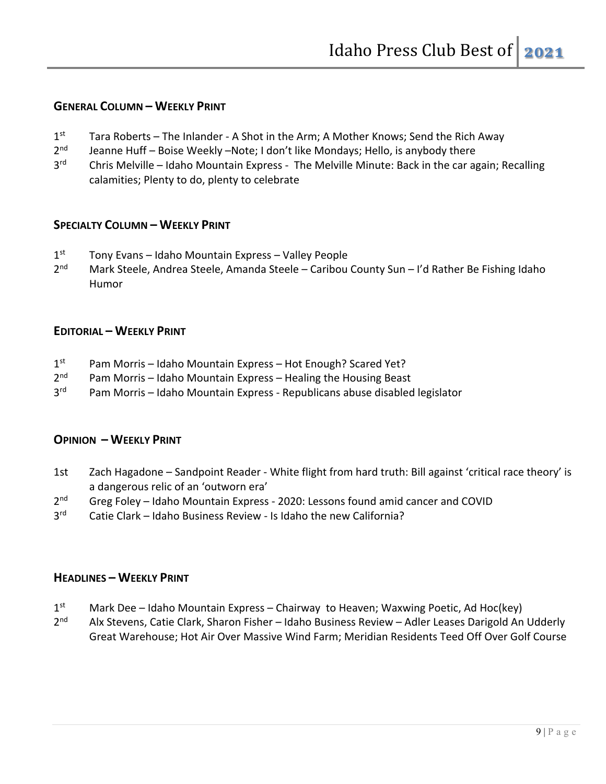### **GENERAL COLUMN – WEEKLY PRINT**

- $1<sup>st</sup>$  Tara Roberts The Inlander A Shot in the Arm; A Mother Knows; Send the Rich Away
- 2<sup>nd</sup> Jeanne Huff Boise Weekly –Note; I don't like Mondays; Hello, is anybody there
- 3<sup>rd</sup> Chris Melville Idaho Mountain Express The Melville Minute: Back in the car again; Recalling calamities; Plenty to do, plenty to celebrate

## **SPECIALTY COLUMN – WEEKLY PRINT**

- $1<sup>st</sup>$  Tony Evans Idaho Mountain Express Valley People
- 2<sup>nd</sup> Mark Steele, Andrea Steele, Amanda Steele Caribou County Sun I'd Rather Be Fishing Idaho Humor

#### **EDITORIAL – WEEKLY PRINT**

- $1<sup>st</sup>$  Pam Morris Idaho Mountain Express Hot Enough? Scared Yet?
- $2<sup>nd</sup>$  Pam Morris Idaho Mountain Express Healing the Housing Beast
- 3<sup>rd</sup> Pam Morris Idaho Mountain Express Republicans abuse disabled legislator

#### **OPINION – WEEKLY PRINT**

- 1st Zach Hagadone Sandpoint Reader White flight from hard truth: Bill against 'critical race theory' is a dangerous relic of an 'outworn era'
- 2<sup>nd</sup> Greg Foley Idaho Mountain Express 2020: Lessons found amid cancer and COVID
- 3<sup>rd</sup> Catie Clark Idaho Business Review Is Idaho the new California?

#### **HEADLINES – WEEKLY PRINT**

- $1<sup>st</sup>$  Mark Dee Idaho Mountain Express Chairway to Heaven; Waxwing Poetic, Ad Hoc(key)
- 2<sup>nd</sup> Alx Stevens, Catie Clark, Sharon Fisher Idaho Business Review Adler Leases Darigold An Udderly Great Warehouse; Hot Air Over Massive Wind Farm; Meridian Residents Teed Off Over Golf Course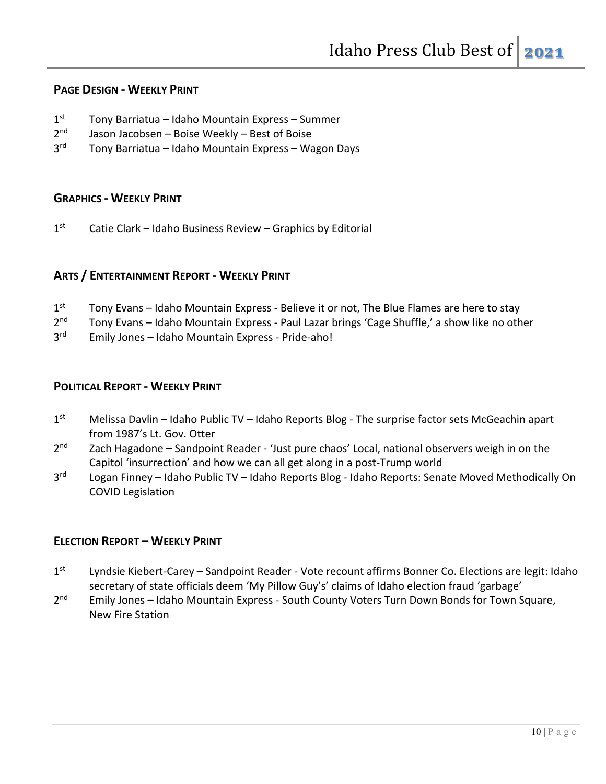#### **PAGE DESIGN - WEEKLY PRINT**

- $1<sup>st</sup>$  Tony Barriatua Idaho Mountain Express Summer
- $2<sup>nd</sup>$  Jason Jacobsen Boise Weekly Best of Boise
- 3<sup>rd</sup> Tony Barriatua Idaho Mountain Express Wagon Days

#### **GRAPHICS - WEEKLY PRINT**

 $1<sup>st</sup>$  Catie Clark – Idaho Business Review – Graphics by Editorial

## **ARTS / ENTERTAINMENT REPORT - WEEKLY PRINT**

- $1<sup>st</sup>$  Tony Evans Idaho Mountain Express Believe it or not, The Blue Flames are here to stay
- 2<sup>nd</sup> Tony Evans Idaho Mountain Express Paul Lazar brings 'Cage Shuffle,' a show like no other
- 3rd Emily Jones Idaho Mountain Express Pride-aho!

## **POLITICAL REPORT - WEEKLY PRINT**

- 1<sup>st</sup> Melissa Davlin Idaho Public TV Idaho Reports Blog The surprise factor sets McGeachin apart from 1987's Lt. Gov. Otter
- $2<sup>nd</sup>$  Zach Hagadone Sandpoint Reader 'Just pure chaos' Local, national observers weigh in on the Capitol 'insurrection' and how we can all get along in a post-Trump world
- 3<sup>rd</sup> Logan Finney Idaho Public TV Idaho Reports Blog Idaho Reports: Senate Moved Methodically On COVID Legislation

## **ELECTION REPORT – WEEKLY PRINT**

- 1st Lyndsie Kiebert-Carey Sandpoint Reader Vote recount affirms Bonner Co. Elections are legit: Idaho secretary of state officials deem 'My Pillow Guy's' claims of Idaho election fraud 'garbage'
- 2<sup>nd</sup> Emily Jones Idaho Mountain Express South County Voters Turn Down Bonds for Town Square, New Fire Station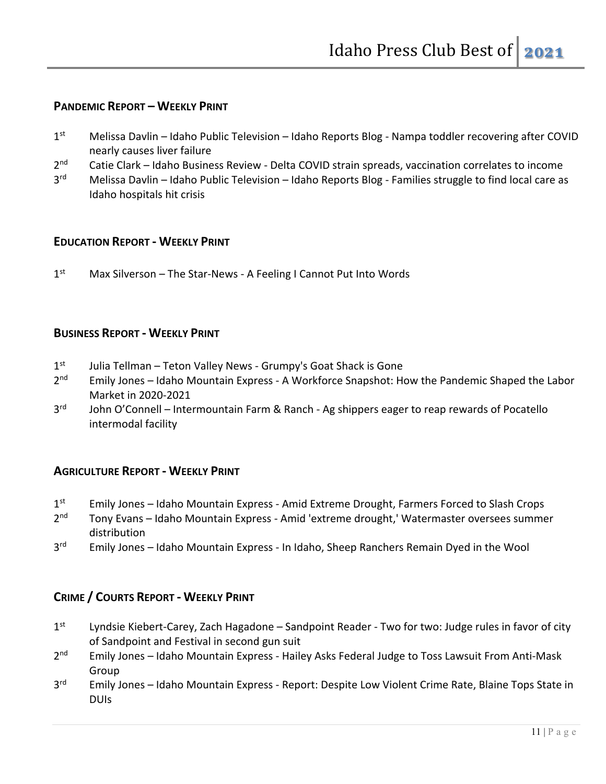## **PANDEMIC REPORT – WEEKLY PRINT**

- $1<sup>st</sup>$  Melissa Davlin Idaho Public Television Idaho Reports Blog Nampa toddler recovering after COVID nearly causes liver failure
- 2<sup>nd</sup> Catie Clark Idaho Business Review Delta COVID strain spreads, vaccination correlates to income
- 3<sup>rd</sup> Melissa Davlin Idaho Public Television Idaho Reports Blog Families struggle to find local care as Idaho hospitals hit crisis

#### **EDUCATION REPORT - WEEKLY PRINT**

1<sup>st</sup> Max Silverson – The Star-News - A Feeling I Cannot Put Into Words

#### **BUSINESS REPORT - WEEKLY PRINT**

- $1<sup>st</sup>$  Julia Tellman Teton Valley News Grumpy's Goat Shack is Gone
- 2<sup>nd</sup> Emily Jones Idaho Mountain Express A Workforce Snapshot: How the Pandemic Shaped the Labor Market in 2020-2021
- 3<sup>rd</sup> John O'Connell Intermountain Farm & Ranch Ag shippers eager to reap rewards of Pocatello intermodal facility

#### **AGRICULTURE REPORT - WEEKLY PRINT**

- 1<sup>st</sup> Emily Jones Idaho Mountain Express Amid Extreme Drought, Farmers Forced to Slash Crops
- 2<sup>nd</sup> Tony Evans Idaho Mountain Express Amid 'extreme drought,' Watermaster oversees summer distribution
- 3<sup>rd</sup> Emily Jones Idaho Mountain Express In Idaho, Sheep Ranchers Remain Dyed in the Wool

## **CRIME / COURTS REPORT - WEEKLY PRINT**

- 1st Lyndsie Kiebert-Carey, Zach Hagadone Sandpoint Reader Two for two: Judge rules in favor of city of Sandpoint and Festival in second gun suit
- 2<sup>nd</sup> Emily Jones Idaho Mountain Express Hailey Asks Federal Judge to Toss Lawsuit From Anti-Mask Group
- 3<sup>rd</sup> Emily Jones Idaho Mountain Express Report: Despite Low Violent Crime Rate, Blaine Tops State in DUIs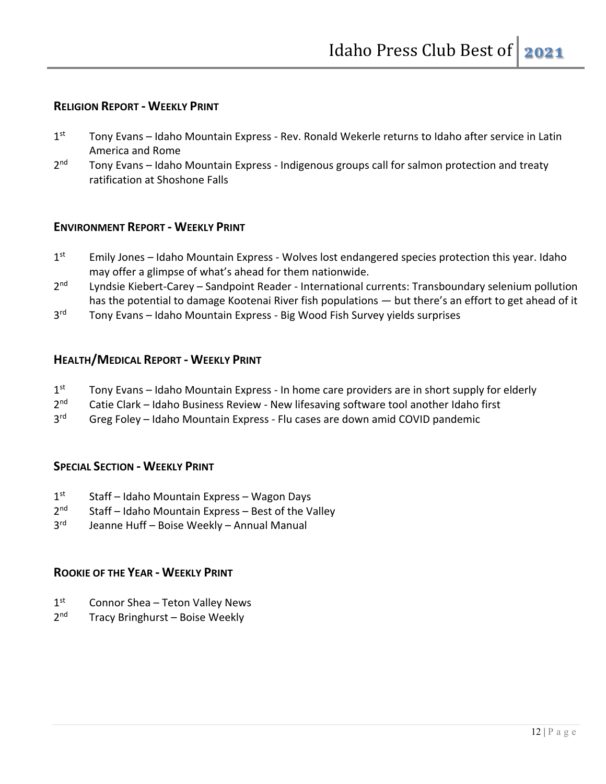## **RELIGION REPORT - WEEKLY PRINT**

- 1st Tony Evans Idaho Mountain Express Rev. Ronald Wekerle returns to Idaho after service in Latin America and Rome
- 2<sup>nd</sup> Tony Evans Idaho Mountain Express Indigenous groups call for salmon protection and treaty ratification at Shoshone Falls

### **ENVIRONMENT REPORT - WEEKLY PRINT**

- $1<sup>st</sup>$  Emily Jones Idaho Mountain Express Wolves lost endangered species protection this year. Idaho may offer a glimpse of what's ahead for them nationwide.
- 2<sup>nd</sup> Lyndsie Kiebert-Carey Sandpoint Reader International currents: Transboundary selenium pollution has the potential to damage Kootenai River fish populations — but there's an effort to get ahead of it
- 3<sup>rd</sup> Tony Evans Idaho Mountain Express Big Wood Fish Survey yields surprises

#### **HEALTH/MEDICAL REPORT - WEEKLY PRINT**

- $1<sup>st</sup>$  Tony Evans Idaho Mountain Express In home care providers are in short supply for elderly
- 2<sup>nd</sup> Catie Clark Idaho Business Review New lifesaving software tool another Idaho first
- 3<sup>rd</sup> Greg Foley Idaho Mountain Express Flu cases are down amid COVID pandemic

#### **SPECIAL SECTION - WEEKLY PRINT**

- $1<sup>st</sup>$  Staff Idaho Mountain Express Wagon Days
- $2<sup>nd</sup>$  Staff Idaho Mountain Express Best of the Valley
- 3rd Jeanne Huff Boise Weekly Annual Manual

## **ROOKIE OF THE YEAR - WEEKLY PRINT**

- $1<sup>st</sup>$  Connor Shea Teton Valley News
- 2<sup>nd</sup> Tracy Bringhurst Boise Weekly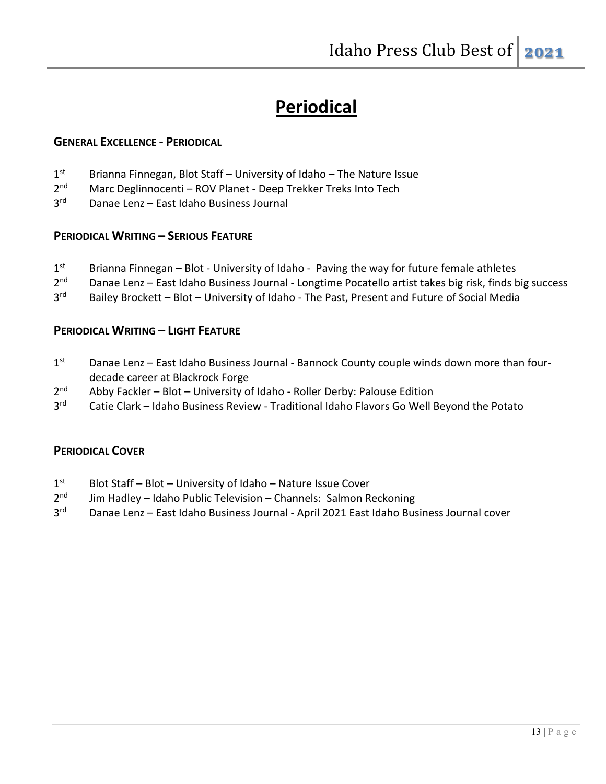## **Periodical**

#### **GENERAL EXCELLENCE - PERIODICAL**

- 1<sup>st</sup> Brianna Finnegan, Blot Staff University of Idaho The Nature Issue
- 2<sup>nd</sup> Marc Deglinnocenti ROV Planet Deep Trekker Treks Into Tech
- 3rd Danae Lenz East Idaho Business Journal

### **PERIODICAL WRITING – SERIOUS FEATURE**

- $1<sup>st</sup>$  Brianna Finnegan Blot University of Idaho Paving the way for future female athletes
- 2<sup>nd</sup> Danae Lenz East Idaho Business Journal Longtime Pocatello artist takes big risk, finds big success
- 3<sup>rd</sup> Bailey Brockett Blot University of Idaho The Past, Present and Future of Social Media

### **PERIODICAL WRITING – LIGHT FEATURE**

- 1<sup>st</sup> Danae Lenz East Idaho Business Journal Bannock County couple winds down more than fourdecade career at Blackrock Forge
- 2<sup>nd</sup> Abby Fackler Blot University of Idaho Roller Derby: Palouse Edition
- 3<sup>rd</sup> Catie Clark Idaho Business Review Traditional Idaho Flavors Go Well Beyond the Potato

## **PERIODICAL COVER**

- 1<sup>st</sup> Blot Staff Blot University of Idaho Nature Issue Cover
- $2<sup>nd</sup>$  Jim Hadley Idaho Public Television Channels: Salmon Reckoning
- 3<sup>rd</sup> Danae Lenz East Idaho Business Journal April 2021 East Idaho Business Journal cover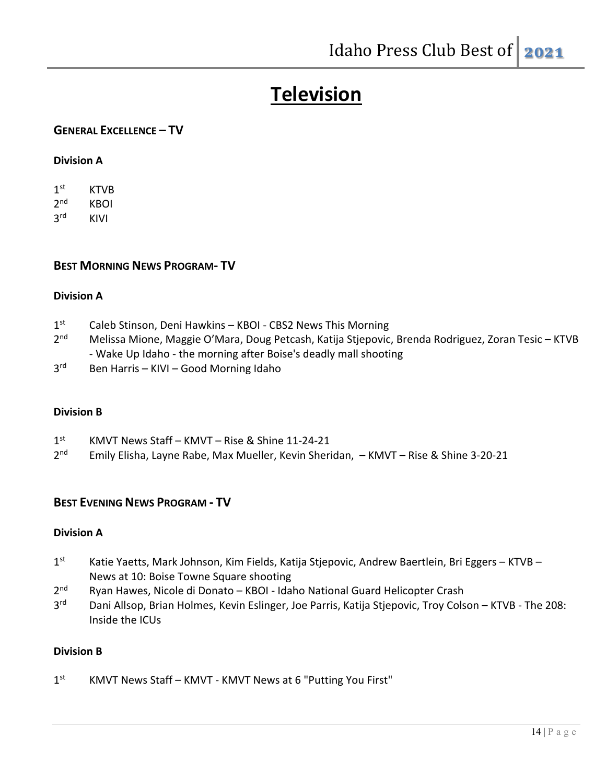# **Television**

## **GENERAL EXCELLENCE – TV**

#### **Division A**

1<sup>st</sup> KTVB 2nd KBOI 3rd KIVI

#### **BEST MORNING NEWS PROGRAM- TV**

#### **Division A**

- 1<sup>st</sup> Caleb Stinson, Deni Hawkins KBOI CBS2 News This Morning
- 2<sup>nd</sup> Melissa Mione, Maggie O'Mara, Doug Petcash, Katija Stjepovic, Brenda Rodriguez, Zoran Tesic KTVB - Wake Up Idaho - the morning after Boise's deadly mall shooting
- 3rd Ben Harris KIVI Good Morning Idaho

#### **Division B**

| 1 <sup>st</sup> | KMVT News Staff - KMVT - Rise & Shine 11-24-21 |
|-----------------|------------------------------------------------|
|-----------------|------------------------------------------------|

2nd Emily Elisha, Layne Rabe, Max Mueller, Kevin Sheridan, – KMVT – Rise & Shine 3-20-21

## **BEST EVENING NEWS PROGRAM - TV**

#### **Division A**

- 1<sup>st</sup> Katie Yaetts, Mark Johnson, Kim Fields, Katija Stjepovic, Andrew Baertlein, Bri Eggers KTVB News at 10: Boise Towne Square shooting
- 2<sup>nd</sup> Ryan Hawes, Nicole di Donato KBOI Idaho National Guard Helicopter Crash
- 3<sup>rd</sup> Dani Allsop, Brian Holmes, Kevin Eslinger, Joe Parris, Katija Stjepovic, Troy Colson KTVB The 208: Inside the ICUs

#### **Division B**

1<sup>st</sup> KMVT News Staff – KMVT - KMVT News at 6 "Putting You First"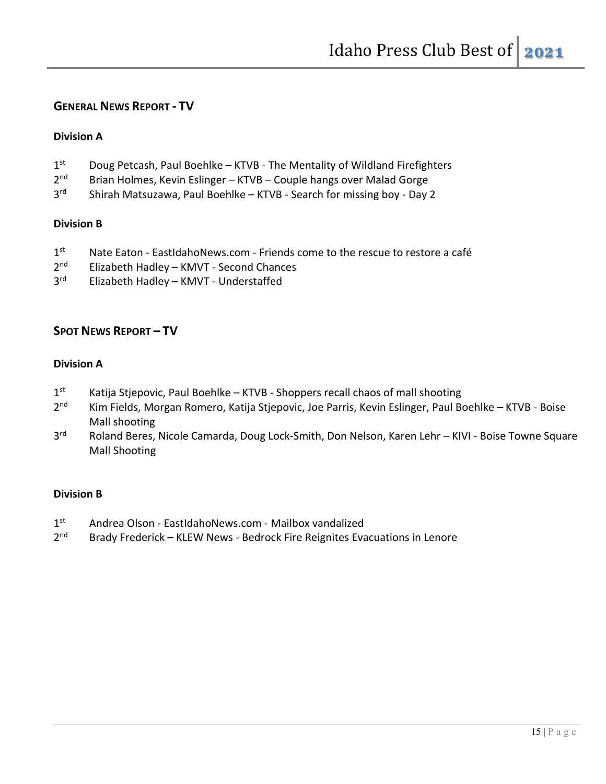## **GENERAL NEWS REPORT - TV**

#### **Division A**

- 1<sup>st</sup> Doug Petcash, Paul Boehlke KTVB The Mentality of Wildland Firefighters
- 2<sup>nd</sup> Brian Holmes, Kevin Eslinger KTVB Couple hangs over Malad Gorge
- 3<sup>rd</sup> Shirah Matsuzawa, Paul Boehlke KTVB Search for missing boy Day 2

#### **Division B**

- $1<sup>st</sup>$  Nate Eaton EastIdahoNews.com Friends come to the rescue to restore a café
- 2<sup>nd</sup> Elizabeth Hadley KMVT Second Chances
- 3<sup>rd</sup> Elizabeth Hadley KMVT Understaffed

## **SPOT NEWS REPORT – TV**

#### **Division A**

- $1<sup>st</sup>$  Katija Stjepovic, Paul Boehlke KTVB Shoppers recall chaos of mall shooting
- 2<sup>nd</sup> Kim Fields, Morgan Romero, Katija Stjepovic, Joe Parris, Kevin Eslinger, Paul Boehlke KTVB Boise Mall shooting
- 3<sup>rd</sup> Roland Beres, Nicole Camarda, Doug Lock-Smith, Don Nelson, Karen Lehr KIVI Boise Towne Square Mall Shooting

#### **Division B**

- 1st Andrea Olson EastIdahoNews.com Mailbox vandalized
- 2<sup>nd</sup> Brady Frederick KLEW News Bedrock Fire Reignites Evacuations in Lenore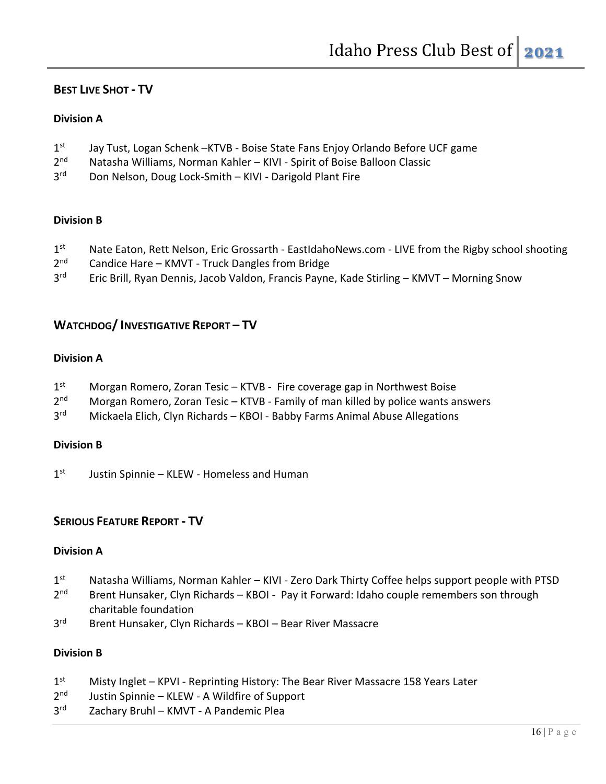## **BEST LIVE SHOT - TV**

#### **Division A**

- 1st Jay Tust, Logan Schenk –KTVB Boise State Fans Enjoy Orlando Before UCF game
- 2<sup>nd</sup> Natasha Williams, Norman Kahler KIVI Spirit of Boise Balloon Classic
- 3<sup>rd</sup> Don Nelson, Doug Lock-Smith KIVI Darigold Plant Fire

### **Division B**

- 1st Nate Eaton, Rett Nelson, Eric Grossarth EastIdahoNews.com LIVE from the Rigby school shooting
- 2<sup>nd</sup> Candice Hare KMVT Truck Dangles from Bridge
- 3<sup>rd</sup> Eric Brill, Ryan Dennis, Jacob Valdon, Francis Payne, Kade Stirling KMVT Morning Snow

## **WATCHDOG/ INVESTIGATIVE REPORT – TV**

#### **Division A**

- 1<sup>st</sup> Morgan Romero, Zoran Tesic KTVB Fire coverage gap in Northwest Boise
- 2<sup>nd</sup> Morgan Romero, Zoran Tesic KTVB Family of man killed by police wants answers
- 3<sup>rd</sup> Mickaela Elich, Clyn Richards KBOI Babby Farms Animal Abuse Allegations

#### **Division B**

 $1<sup>st</sup>$  Justin Spinnie – KLEW - Homeless and Human

## **SERIOUS FEATURE REPORT - TV**

#### **Division A**

- 1<sup>st</sup> Natasha Williams, Norman Kahler KIVI Zero Dark Thirty Coffee helps support people with PTSD
- 2<sup>nd</sup> Brent Hunsaker, Clyn Richards KBOI Pay it Forward: Idaho couple remembers son through charitable foundation
- 3rd Brent Hunsaker, Clyn Richards KBOI Bear River Massacre

#### **Division B**

- 1st Misty Inglet KPVI Reprinting History: The Bear River Massacre 158 Years Later
- 2<sup>nd</sup> Justin Spinnie KLEW A Wildfire of Support
- 3<sup>rd</sup> Zachary Bruhl KMVT A Pandemic Plea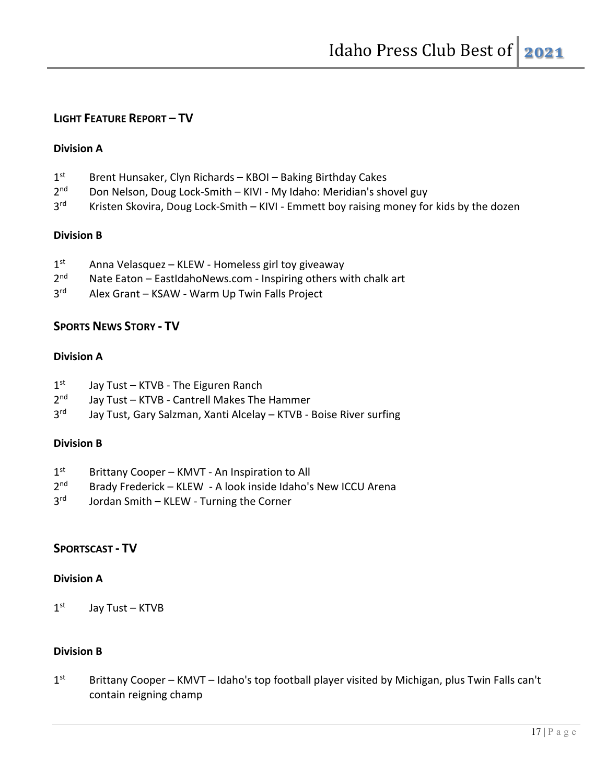## **LIGHT FEATURE REPORT – TV**

### **Division A**

- 1<sup>st</sup> Brent Hunsaker, Clyn Richards KBOI Baking Birthday Cakes
- 2<sup>nd</sup> Don Nelson, Doug Lock-Smith KIVI My Idaho: Meridian's shovel guy
- 3<sup>rd</sup> Kristen Skovira, Doug Lock-Smith KIVI Emmett boy raising money for kids by the dozen

### **Division B**

- $1<sup>st</sup>$  Anna Velasquez KLEW Homeless girl toy giveaway
- $2<sup>nd</sup>$  Nate Eaton EastIdahoNews.com Inspiring others with chalk art
- 3<sup>rd</sup> Alex Grant KSAW Warm Up Twin Falls Project

## **SPORTS NEWS STORY - TV**

### **Division A**

- $1<sup>st</sup>$  Jay Tust KTVB The Eiguren Ranch
- 2<sup>nd</sup> Jay Tust KTVB Cantrell Makes The Hammer
- 3<sup>rd</sup> Jay Tust, Gary Salzman, Xanti Alcelay KTVB Boise River surfing

#### **Division B**

- 1<sup>st</sup> Brittany Cooper KMVT An Inspiration to All
- 2<sup>nd</sup> Brady Frederick KLEW A look inside Idaho's New ICCU Arena
- 3<sup>rd</sup> Jordan Smith KLEW Turning the Corner

## **SPORTSCAST - TV**

#### **Division A**

 $1<sup>st</sup>$  Jay Tust – KTVB

## **Division B**

 $1<sup>st</sup>$  Brittany Cooper – KMVT – Idaho's top football player visited by Michigan, plus Twin Falls can't contain reigning champ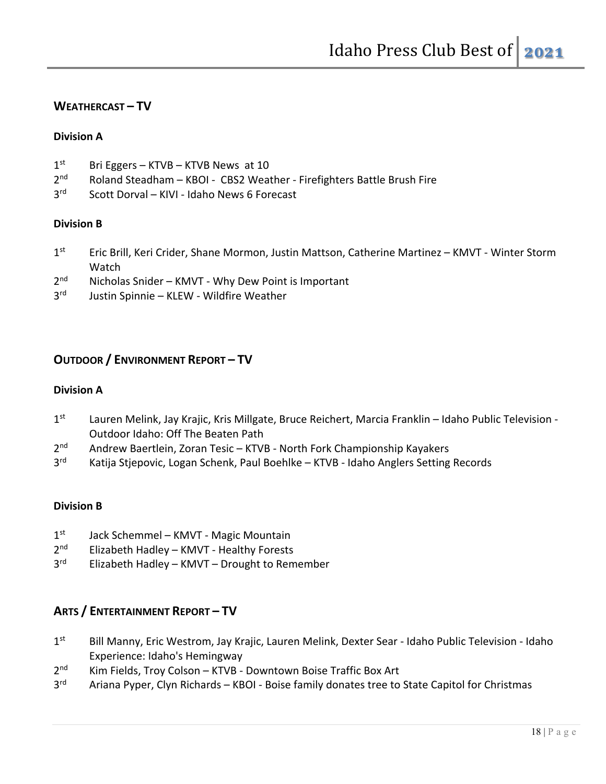## **WEATHERCAST – TV**

#### **Division A**

- $1<sup>st</sup>$  Bri Eggers KTVB KTVB News at 10
- 2<sup>nd</sup> Roland Steadham KBOI CBS2 Weather Firefighters Battle Brush Fire
- 3rd Scott Dorval KIVI Idaho News 6 Forecast

### **Division B**

- 1<sup>st</sup> Eric Brill, Keri Crider, Shane Mormon, Justin Mattson, Catherine Martinez KMVT Winter Storm Watch
- 2<sup>nd</sup> Nicholas Snider KMVT Why Dew Point is Important
- 3rd Justin Spinnie KLEW Wildfire Weather

## **OUTDOOR / ENVIRONMENT REPORT – TV**

#### **Division A**

- 1<sup>st</sup> Lauren Melink, Jay Krajic, Kris Millgate, Bruce Reichert, Marcia Franklin Idaho Public Television -Outdoor Idaho: Off The Beaten Path
- 2<sup>nd</sup> Andrew Baertlein, Zoran Tesic KTVB North Fork Championship Kayakers
- 3<sup>rd</sup> Katija Stjepovic, Logan Schenk, Paul Boehlke KTVB Idaho Anglers Setting Records

#### **Division B**

- $1<sup>st</sup>$  Jack Schemmel KMVT Magic Mountain
- 2<sup>nd</sup> Elizabeth Hadley KMVT Healthy Forests
- 3<sup>rd</sup> Elizabeth Hadley KMVT Drought to Remember

## **ARTS / ENTERTAINMENT REPORT – TV**

- 1st Bill Manny, Eric Westrom, Jay Krajic, Lauren Melink, Dexter Sear Idaho Public Television Idaho Experience: Idaho's Hemingway
- 2<sup>nd</sup> Kim Fields, Troy Colson KTVB Downtown Boise Traffic Box Art
- 3<sup>rd</sup> Ariana Pyper, Clyn Richards KBOI Boise family donates tree to State Capitol for Christmas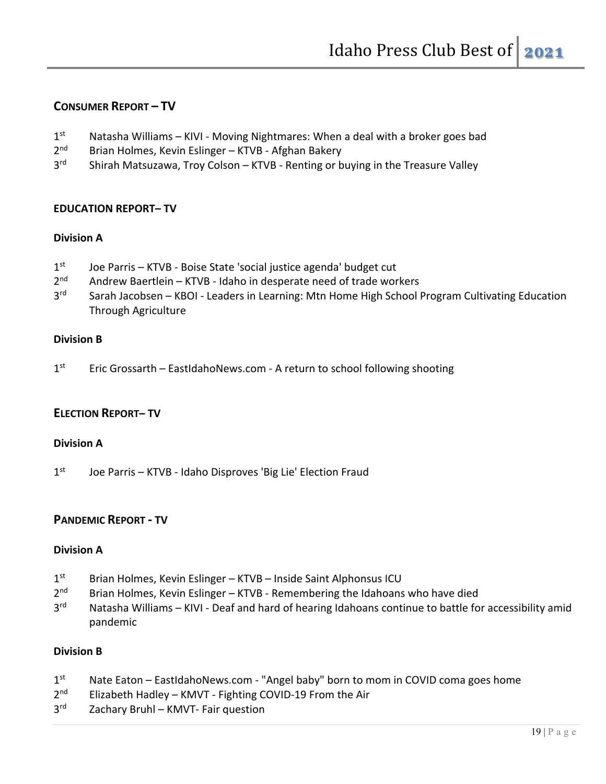## **CONSUMER REPORT – TV**

- $1<sup>st</sup>$  Natasha Williams KIVI Moving Nightmares: When a deal with a broker goes bad
- 2<sup>nd</sup> Brian Holmes, Kevin Eslinger KTVB Afghan Bakery
- 3<sup>rd</sup> Shirah Matsuzawa, Troy Colson KTVB Renting or buying in the Treasure Valley

#### **EDUCATION REPORT– TV**

#### **Division A**

- 1st Joe Parris KTVB Boise State 'social justice agenda' budget cut
- 2<sup>nd</sup> Andrew Baertlein KTVB Idaho in desperate need of trade workers
- 3<sup>rd</sup> Sarah Jacobsen KBOI Leaders in Learning: Mtn Home High School Program Cultivating Education Through Agriculture

#### **Division B**

 $1<sup>st</sup>$  Eric Grossarth – EastIdahoNews.com - A return to school following shooting

#### **ELECTION REPORT– TV**

#### **Division A**

1st Joe Parris – KTVB - Idaho Disproves 'Big Lie' Election Fraud

#### **PANDEMIC REPORT - TV**

#### **Division A**

- 1<sup>st</sup> Brian Holmes, Kevin Eslinger KTVB Inside Saint Alphonsus ICU
- $2<sup>nd</sup>$  Brian Holmes, Kevin Eslinger KTVB Remembering the Idahoans who have died
- 3<sup>rd</sup> Natasha Williams KIVI Deaf and hard of hearing Idahoans continue to battle for accessibility amid pandemic

#### **Division B**

- 1<sup>st</sup> Nate Eaton EastIdahoNews.com "Angel baby" born to mom in COVID coma goes home
- 2<sup>nd</sup> Elizabeth Hadley KMVT Fighting COVID-19 From the Air
- 3<sup>rd</sup> Zachary Bruhl KMVT- Fair question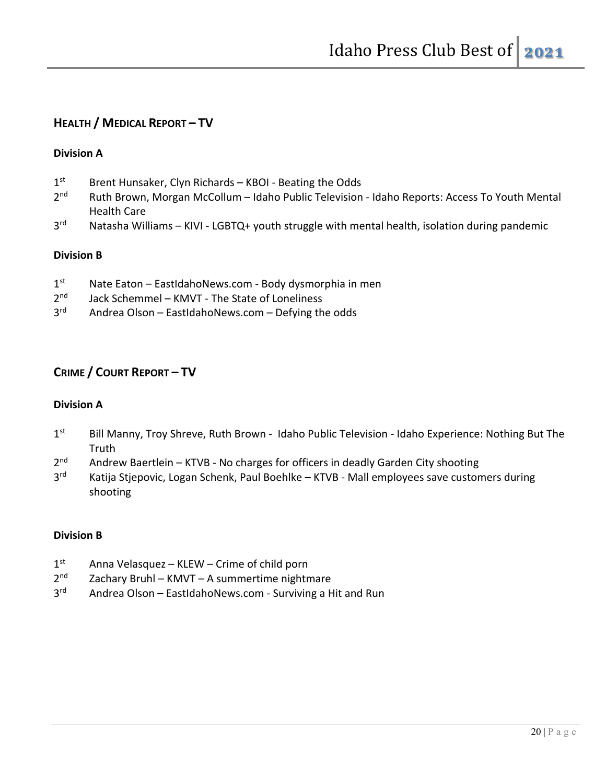## **HEALTH / MEDICAL REPORT – TV**

#### **Division A**

- 1<sup>st</sup> Brent Hunsaker, Clyn Richards KBOI Beating the Odds
- 2<sup>nd</sup> Ruth Brown, Morgan McCollum Idaho Public Television Idaho Reports: Access To Youth Mental Health Care
- $3<sup>rd</sup>$  Natasha Williams KIVI LGBTQ+ youth struggle with mental health, isolation during pandemic

#### **Division B**

- $1<sup>st</sup>$  Nate Eaton EastIdahoNews.com Body dysmorphia in men
- 2<sup>nd</sup> Jack Schemmel KMVT The State of Loneliness
- 3<sup>rd</sup> Andrea Olson EastIdahoNews.com Defying the odds

## **CRIME / COURT REPORT – TV**

#### **Division A**

- 1st Bill Manny, Troy Shreve, Ruth Brown Idaho Public Television Idaho Experience: Nothing But The **Truth**
- $2<sup>nd</sup>$  Andrew Baertlein KTVB No charges for officers in deadly Garden City shooting
- 3<sup>rd</sup> Katija Stjepovic, Logan Schenk, Paul Boehlke KTVB Mall employees save customers during shooting

#### **Division B**

- 1<sup>st</sup> Anna Velasquez KLEW Crime of child porn
- 2<sup>nd</sup> Zachary Bruhl KMVT A summertime nightmare
- 3<sup>rd</sup> Andrea Olson EastIdahoNews.com Surviving a Hit and Run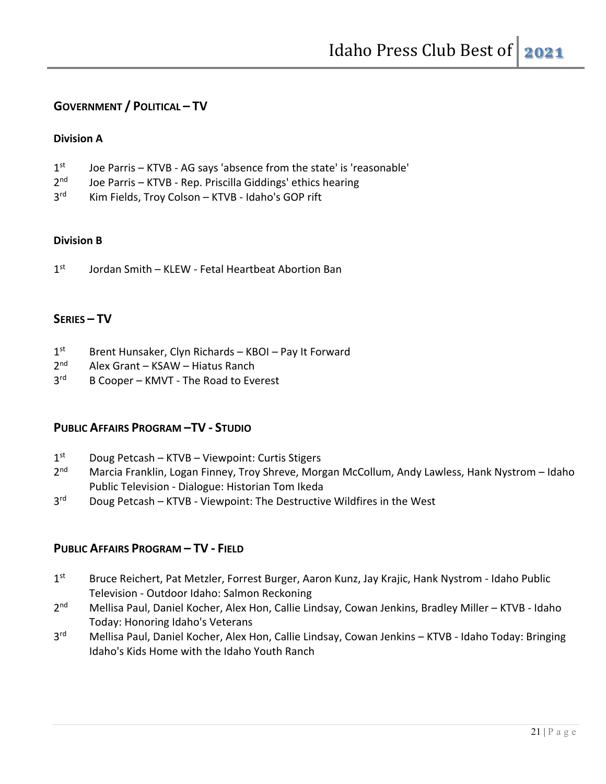## **GOVERNMENT / POLITICAL – TV**

#### **Division A**

- 1<sup>st</sup> Joe Parris KTVB AG says 'absence from the state' is 'reasonable'
- 2<sup>nd</sup> Joe Parris KTVB Rep. Priscilla Giddings' ethics hearing
- 3<sup>rd</sup> Kim Fields, Troy Colson KTVB Idaho's GOP rift

#### **Division B**

 $1<sup>st</sup>$  Jordan Smith – KLEW - Fetal Heartbeat Abortion Ban

### **SERIES – TV**

- 1<sup>st</sup> Brent Hunsaker, Clyn Richards KBOI Pay It Forward
- 2<sup>nd</sup> Alex Grant KSAW Hiatus Ranch
- 3<sup>rd</sup> B Cooper KMVT The Road to Everest

#### **PUBLIC AFFAIRS PROGRAM –TV - STUDIO**

- 1<sup>st</sup> Doug Petcash KTVB Viewpoint: Curtis Stigers
- 2<sup>nd</sup> Marcia Franklin, Logan Finney, Troy Shreve, Morgan McCollum, Andy Lawless, Hank Nystrom Idaho Public Television - Dialogue: Historian Tom Ikeda
- $3<sup>rd</sup>$  Doug Petcash KTVB Viewpoint: The Destructive Wildfires in the West

#### **PUBLIC AFFAIRS PROGRAM – TV - FIELD**

- 1st Bruce Reichert, Pat Metzler, Forrest Burger, Aaron Kunz, Jay Krajic, Hank Nystrom Idaho Public Television - Outdoor Idaho: Salmon Reckoning
- 2<sup>nd</sup> Mellisa Paul, Daniel Kocher, Alex Hon, Callie Lindsay, Cowan Jenkins, Bradley Miller KTVB Idaho Today: Honoring Idaho's Veterans
- 3<sup>rd</sup> Mellisa Paul, Daniel Kocher, Alex Hon, Callie Lindsay, Cowan Jenkins KTVB Idaho Today: Bringing Idaho's Kids Home with the Idaho Youth Ranch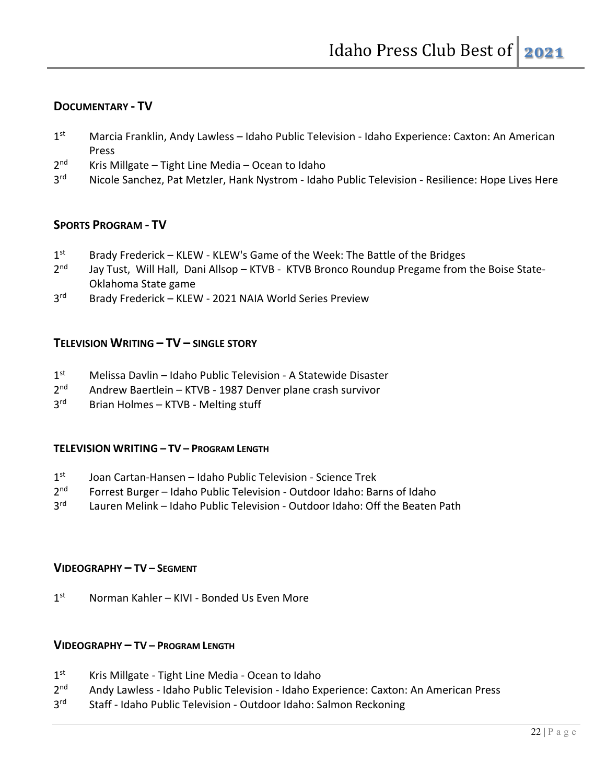## **DOCUMENTARY - TV**

- 1<sup>st</sup> Marcia Franklin, Andy Lawless Idaho Public Television Idaho Experience: Caxton: An American Press
- 2<sup>nd</sup> Kris Millgate Tight Line Media Ocean to Idaho
- 3<sup>rd</sup> Nicole Sanchez, Pat Metzler, Hank Nystrom Idaho Public Television Resilience: Hope Lives Here

## **SPORTS PROGRAM - TV**

- $1<sup>st</sup>$  Brady Frederick KLEW KLEW's Game of the Week: The Battle of the Bridges
- 2<sup>nd</sup> Jay Tust, Will Hall, Dani Allsop KTVB KTVB Bronco Roundup Pregame from the Boise State-Oklahoma State game
- 3<sup>rd</sup> Brady Frederick KLEW 2021 NAIA World Series Preview

### **TELEVISION WRITING – TV – SINGLE STORY**

- $1<sup>st</sup>$  Melissa Davlin Idaho Public Television A Statewide Disaster
- 2nd Andrew Baertlein KTVB 1987 Denver plane crash survivor
- 3rd Brian Holmes KTVB Melting stuff

#### **TELEVISION WRITING – TV – PROGRAM LENGTH**

- $1<sup>st</sup>$  Joan Cartan-Hansen Idaho Public Television Science Trek
- $2<sup>nd</sup>$  Forrest Burger Idaho Public Television Outdoor Idaho: Barns of Idaho
- 3rd Lauren Melink Idaho Public Television Outdoor Idaho: Off the Beaten Path

#### **VIDEOGRAPHY – TV – SEGMENT**

1<sup>st</sup> Norman Kahler – KIVI - Bonded Us Even More

#### **VIDEOGRAPHY – TV – PROGRAM LENGTH**

- 1<sup>st</sup> Kris Millgate Tight Line Media Ocean to Idaho
- 2<sup>nd</sup> Andy Lawless Idaho Public Television Idaho Experience: Caxton: An American Press
- 3<sup>rd</sup> Staff Idaho Public Television Outdoor Idaho: Salmon Reckoning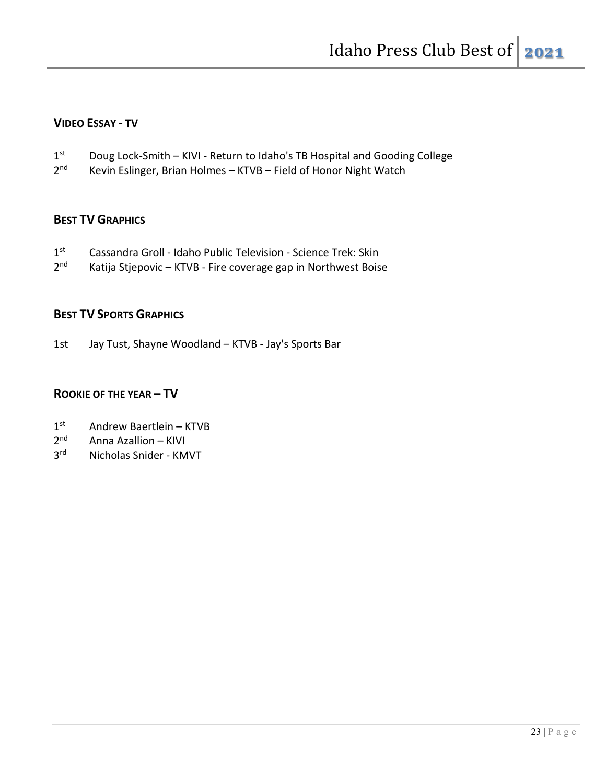## **VIDEO ESSAY - TV**

- 1st Doug Lock-Smith KIVI Return to Idaho's TB Hospital and Gooding College
- 2<sup>nd</sup> Kevin Eslinger, Brian Holmes KTVB Field of Honor Night Watch

## **BEST TV GRAPHICS**

- 1st Cassandra Groll Idaho Public Television Science Trek: Skin
- 2<sup>nd</sup> Katija Stjepovic KTVB Fire coverage gap in Northwest Boise

## **BEST TV SPORTS GRAPHICS**

1st Jay Tust, Shayne Woodland – KTVB - Jay's Sports Bar

## **ROOKIE OF THE YEAR – TV**

- 1<sup>st</sup> Andrew Baertlein KTVB
- $2<sup>nd</sup>$  Anna Azallion KIVI
- 3rd Nicholas Snider KMVT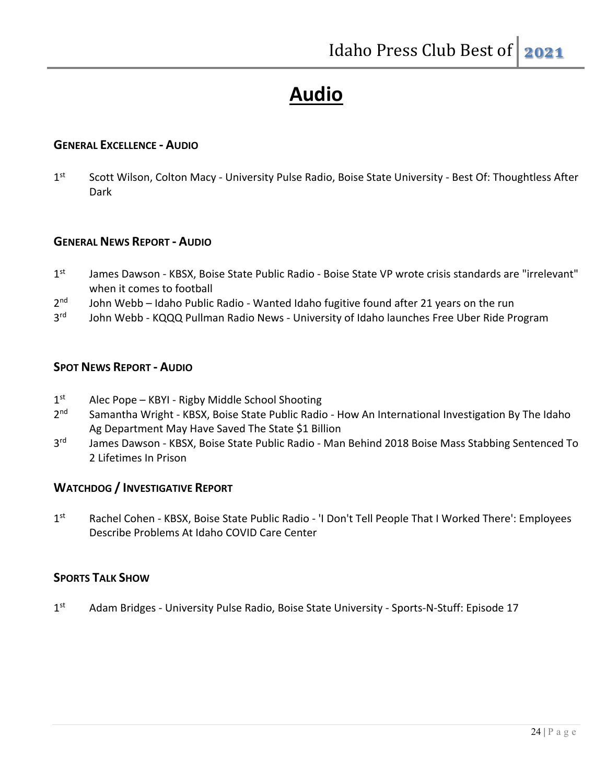# **Audio**

#### **GENERAL EXCELLENCE - AUDIO**

1st Scott Wilson, Colton Macy - University Pulse Radio, Boise State University - Best Of: Thoughtless After Dark

#### **GENERAL NEWS REPORT - AUDIO**

- 1<sup>st</sup> James Dawson KBSX, Boise State Public Radio Boise State VP wrote crisis standards are "irrelevant" when it comes to football
- 2<sup>nd</sup> John Webb Idaho Public Radio Wanted Idaho fugitive found after 21 years on the run
- 3<sup>rd</sup> John Webb KQQQ Pullman Radio News University of Idaho launches Free Uber Ride Program

### **SPOT NEWS REPORT - AUDIO**

- 1st Alec Pope KBYI Rigby Middle School Shooting
- 2<sup>nd</sup> Samantha Wright KBSX, Boise State Public Radio How An International Investigation By The Idaho Ag Department May Have Saved The State \$1 Billion
- 3<sup>rd</sup> James Dawson KBSX, Boise State Public Radio Man Behind 2018 Boise Mass Stabbing Sentenced To 2 Lifetimes In Prison

## **WATCHDOG / INVESTIGATIVE REPORT**

1st Rachel Cohen - KBSX, Boise State Public Radio - 'I Don't Tell People That I Worked There': Employees Describe Problems At Idaho COVID Care Center

## **SPORTS TALK SHOW**

1st Adam Bridges - University Pulse Radio, Boise State University - Sports-N-Stuff: Episode 17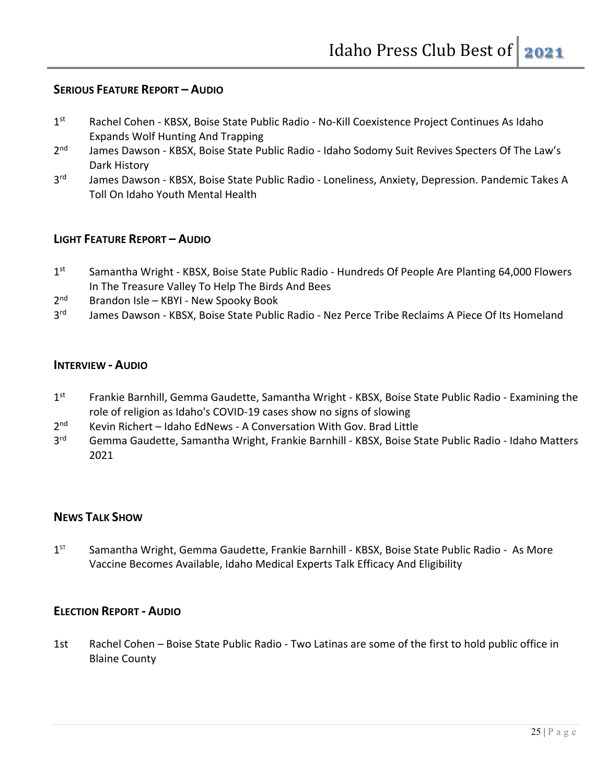## **SERIOUS FEATURE REPORT – AUDIO**

- 1st Rachel Cohen KBSX, Boise State Public Radio No-Kill Coexistence Project Continues As Idaho Expands Wolf Hunting And Trapping
- 2<sup>nd</sup> James Dawson KBSX, Boise State Public Radio Idaho Sodomy Suit Revives Specters Of The Law's Dark History
- 3<sup>rd</sup> James Dawson KBSX, Boise State Public Radio Loneliness, Anxiety, Depression. Pandemic Takes A Toll On Idaho Youth Mental Health

### **LIGHT FEATURE REPORT – AUDIO**

- 1st Samantha Wright KBSX, Boise State Public Radio Hundreds Of People Are Planting 64,000 Flowers In The Treasure Valley To Help The Birds And Bees
- 2<sup>nd</sup> Brandon Isle KBYI New Spooky Book
- 3<sup>rd</sup> James Dawson KBSX, Boise State Public Radio Nez Perce Tribe Reclaims A Piece Of Its Homeland

#### **INTERVIEW - AUDIO**

- 1st Frankie Barnhill, Gemma Gaudette, Samantha Wright KBSX, Boise State Public Radio Examining the role of religion as Idaho's COVID-19 cases show no signs of slowing
- 2<sup>nd</sup> Kevin Richert Idaho EdNews A Conversation With Gov. Brad Little
- 3<sup>rd</sup> Gemma Gaudette, Samantha Wright, Frankie Barnhill KBSX, Boise State Public Radio Idaho Matters 2021

#### **NEWS TALK SHOW**

1<sup>ST</sup> Samantha Wright, Gemma Gaudette, Frankie Barnhill - KBSX, Boise State Public Radio - As More Vaccine Becomes Available, Idaho Medical Experts Talk Efficacy And Eligibility

#### **ELECTION REPORT - AUDIO**

1st Rachel Cohen – Boise State Public Radio - Two Latinas are some of the first to hold public office in Blaine County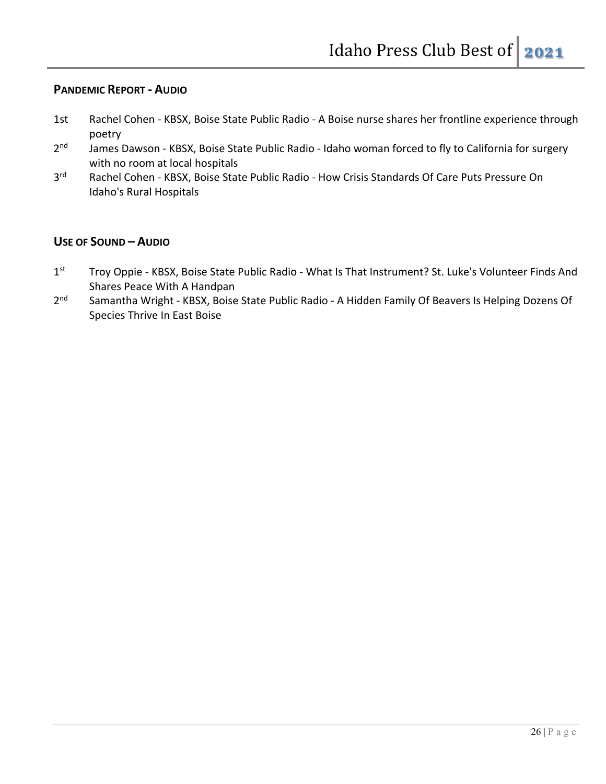## **PANDEMIC REPORT - AUDIO**

- 1st Rachel Cohen KBSX, Boise State Public Radio A Boise nurse shares her frontline experience through poetry
- 2<sup>nd</sup> James Dawson KBSX, Boise State Public Radio Idaho woman forced to fly to California for surgery with no room at local hospitals
- 3<sup>rd</sup> Rachel Cohen KBSX, Boise State Public Radio How Crisis Standards Of Care Puts Pressure On Idaho's Rural Hospitals

## **USE OF SOUND – AUDIO**

- 1st Troy Oppie KBSX, Boise State Public Radio What Is That Instrument? St. Luke's Volunteer Finds And Shares Peace With A Handpan
- 2<sup>nd</sup> Samantha Wright KBSX, Boise State Public Radio A Hidden Family Of Beavers Is Helping Dozens Of Species Thrive In East Boise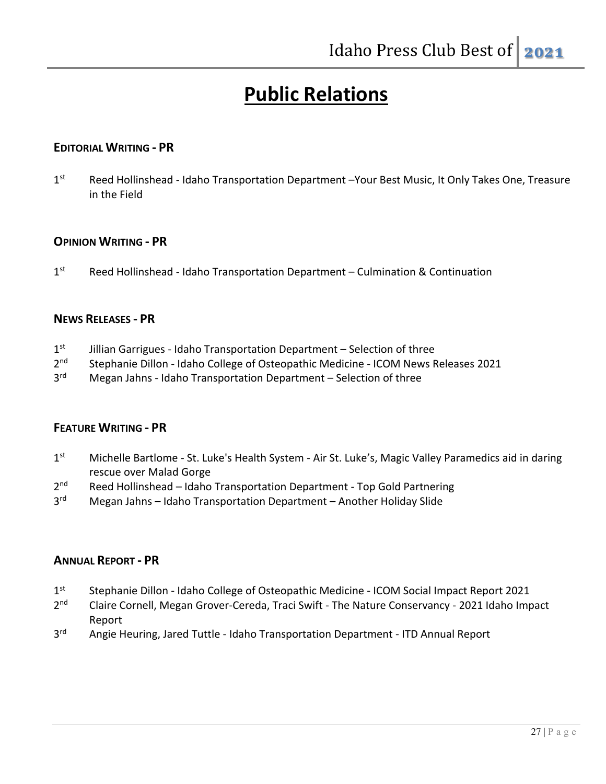# **Public Relations**

### **EDITORIAL WRITING - PR**

1st Reed Hollinshead - Idaho Transportation Department –Your Best Music, It Only Takes One, Treasure in the Field

#### **OPINION WRITING - PR**

1<sup>st</sup> Reed Hollinshead - Idaho Transportation Department – Culmination & Continuation

#### **NEWS RELEASES - PR**

- $1<sup>st</sup>$  Jillian Garrigues Idaho Transportation Department Selection of three
- 2<sup>nd</sup> Stephanie Dillon Idaho College of Osteopathic Medicine ICOM News Releases 2021
- 3<sup>rd</sup> Megan Jahns Idaho Transportation Department Selection of three

#### **FEATURE WRITING - PR**

- 1st Michelle Bartlome St. Luke's Health System Air St. Luke's, Magic Valley Paramedics aid in daring rescue over Malad Gorge
- 2<sup>nd</sup> Reed Hollinshead Idaho Transportation Department Top Gold Partnering
- 3<sup>rd</sup> Megan Jahns Idaho Transportation Department Another Holiday Slide

#### **ANNUAL REPORT - PR**

- 1st Stephanie Dillon Idaho College of Osteopathic Medicine ICOM Social Impact Report 2021
- 2<sup>nd</sup> Claire Cornell, Megan Grover-Cereda, Traci Swift The Nature Conservancy 2021 Idaho Impact Report
- 3<sup>rd</sup> Angie Heuring, Jared Tuttle Idaho Transportation Department ITD Annual Report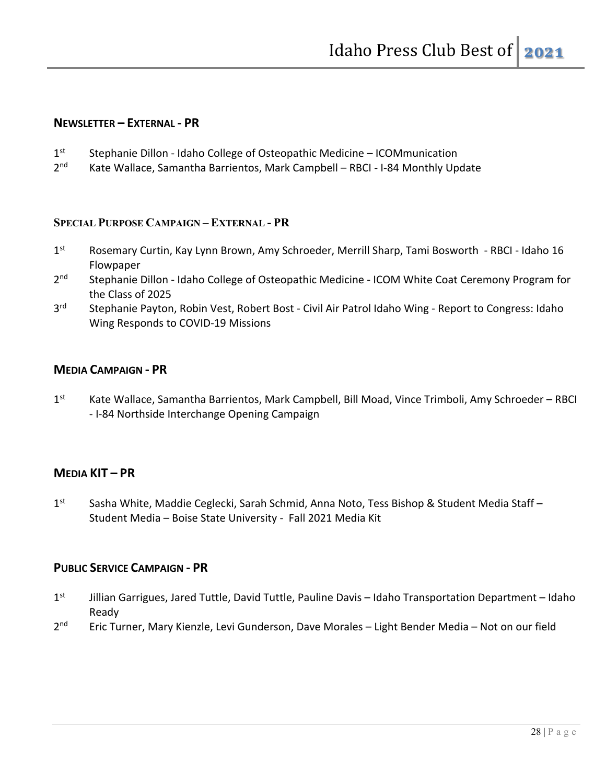#### **NEWSLETTER – EXTERNAL - PR**

- 1<sup>st</sup> Stephanie Dillon Idaho College of Osteopathic Medicine ICOMmunication
- 2<sup>nd</sup> Kate Wallace, Samantha Barrientos, Mark Campbell RBCI I-84 Monthly Update

#### **SPECIAL PURPOSE CAMPAIGN – EXTERNAL - PR**

- 1<sup>st</sup> Rosemary Curtin, Kay Lynn Brown, Amy Schroeder, Merrill Sharp, Tami Bosworth RBCI Idaho 16 Flowpaper
- 2<sup>nd</sup> Stephanie Dillon Idaho College of Osteopathic Medicine ICOM White Coat Ceremony Program for the Class of 2025
- 3<sup>rd</sup> Stephanie Payton, Robin Vest, Robert Bost Civil Air Patrol Idaho Wing Report to Congress: Idaho Wing Responds to COVID-19 Missions

#### **MEDIA CAMPAIGN - PR**

1<sup>st</sup> Kate Wallace, Samantha Barrientos, Mark Campbell, Bill Moad, Vince Trimboli, Amy Schroeder – RBCI - I-84 Northside Interchange Opening Campaign

## **MEDIA KIT – PR**

1<sup>st</sup> Sasha White, Maddie Ceglecki, Sarah Schmid, Anna Noto, Tess Bishop & Student Media Staff – Student Media – Boise State University - Fall 2021 Media Kit

#### **PUBLIC SERVICE CAMPAIGN - PR**

- 1<sup>st</sup> Jillian Garrigues, Jared Tuttle, David Tuttle, Pauline Davis Idaho Transportation Department Idaho Ready
- 2<sup>nd</sup> Eric Turner, Mary Kienzle, Levi Gunderson, Dave Morales Light Bender Media Not on our field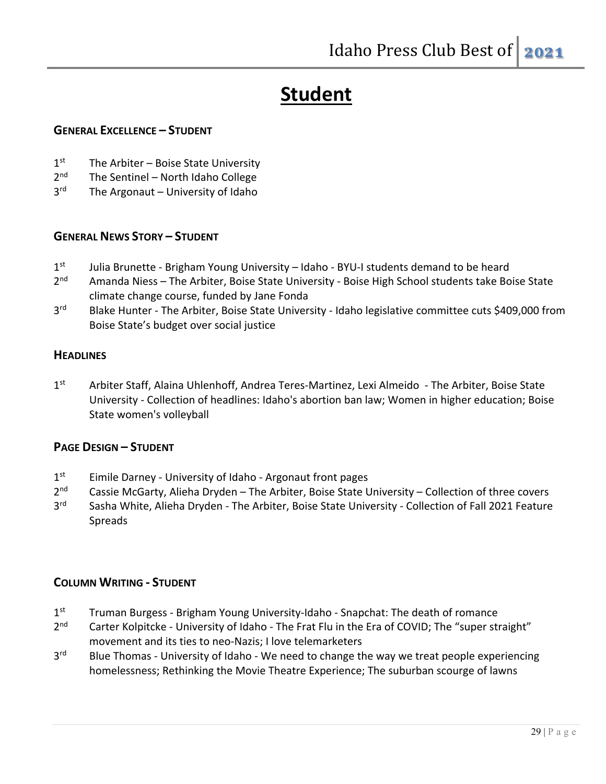# **Student**

### **GENERAL EXCELLENCE – STUDENT**

- $1<sup>st</sup>$  The Arbiter Boise State University
- 2<sup>nd</sup> The Sentinel North Idaho College
- $3<sup>rd</sup>$  The Argonaut University of Idaho

## **GENERAL NEWS STORY – STUDENT**

- 1<sup>st</sup> Julia Brunette Brigham Young University Idaho BYU-I students demand to be heard
- 2<sup>nd</sup> Amanda Niess The Arbiter, Boise State University Boise High School students take Boise State climate change course, funded by Jane Fonda
- 3<sup>rd</sup> Blake Hunter The Arbiter, Boise State University Idaho legislative committee cuts \$409,000 from Boise State's budget over social justice

## **HEADLINES**

1<sup>st</sup> Arbiter Staff, Alaina Uhlenhoff, Andrea Teres-Martinez, Lexi Almeido - The Arbiter, Boise State University - Collection of headlines: Idaho's abortion ban law; Women in higher education; Boise State women's volleyball

## **PAGE DESIGN – STUDENT**

- 1<sup>st</sup> Eimile Darney University of Idaho Argonaut front pages
- $2<sup>nd</sup>$  Cassie McGarty, Alieha Dryden The Arbiter, Boise State University Collection of three covers
- 3<sup>rd</sup> Sasha White, Alieha Dryden The Arbiter, Boise State University Collection of Fall 2021 Feature Spreads

## **COLUMN WRITING - STUDENT**

- 1<sup>st</sup> Truman Burgess Brigham Young University-Idaho Snapchat: The death of romance
- 2<sup>nd</sup> Carter Kolpitcke University of Idaho The Frat Flu in the Era of COVID; The "super straight" movement and its ties to neo-Nazis; I love telemarketers
- 3<sup>rd</sup> Blue Thomas University of Idaho We need to change the way we treat people experiencing homelessness; Rethinking the Movie Theatre Experience; The suburban scourge of lawns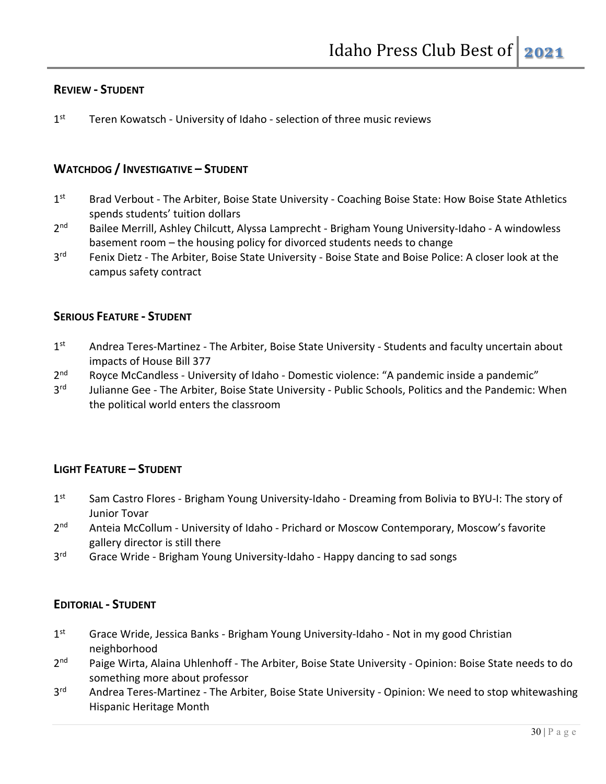#### **REVIEW - STUDENT**

1<sup>st</sup> Teren Kowatsch - University of Idaho - selection of three music reviews

### **WATCHDOG / INVESTIGATIVE – STUDENT**

- 1st Brad Verbout The Arbiter, Boise State University Coaching Boise State: How Boise State Athletics spends students' tuition dollars
- 2<sup>nd</sup> Bailee Merrill, Ashley Chilcutt, Alyssa Lamprecht Brigham Young University-Idaho A windowless basement room – the housing policy for divorced students needs to change
- 3<sup>rd</sup> Fenix Dietz The Arbiter, Boise State University Boise State and Boise Police: A closer look at the campus safety contract

#### **SERIOUS FEATURE - STUDENT**

- 1st Andrea Teres-Martinez The Arbiter, Boise State University Students and faculty uncertain about impacts of House Bill 377
- 2<sup>nd</sup> Royce McCandless University of Idaho Domestic violence: "A pandemic inside a pandemic"
- 3<sup>rd</sup> Julianne Gee The Arbiter, Boise State University Public Schools, Politics and the Pandemic: When the political world enters the classroom

#### **LIGHT FEATURE – STUDENT**

- 1st Sam Castro Flores Brigham Young University-Idaho Dreaming from Bolivia to BYU-I: The story of Junior Tovar
- 2<sup>nd</sup> Anteia McCollum University of Idaho Prichard or Moscow Contemporary, Moscow's favorite gallery director is still there
- 3<sup>rd</sup> Grace Wride Brigham Young University-Idaho Happy dancing to sad songs

#### **EDITORIAL - STUDENT**

- 1<sup>st</sup> Grace Wride, Jessica Banks Brigham Young University-Idaho Not in my good Christian neighborhood
- 2<sup>nd</sup> Paige Wirta, Alaina Uhlenhoff The Arbiter, Boise State University Opinion: Boise State needs to do something more about professor
- 3<sup>rd</sup> Andrea Teres-Martinez The Arbiter, Boise State University Opinion: We need to stop whitewashing Hispanic Heritage Month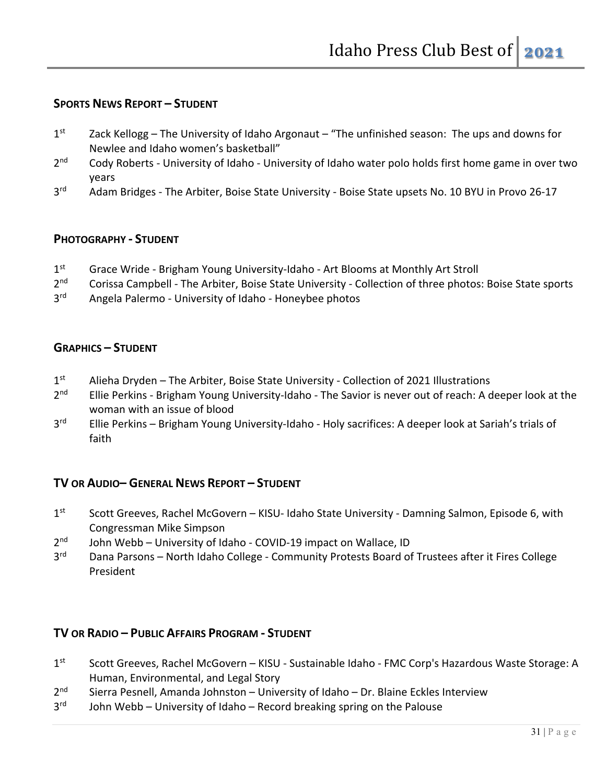## **SPORTS NEWS REPORT – STUDENT**

- $1<sup>st</sup>$  Zack Kellogg The University of Idaho Argonaut "The unfinished season: The ups and downs for Newlee and Idaho women's basketball"
- 2<sup>nd</sup> Cody Roberts University of Idaho University of Idaho water polo holds first home game in over two years
- 3<sup>rd</sup> Adam Bridges The Arbiter, Boise State University Boise State upsets No. 10 BYU in Provo 26-17

#### **PHOTOGRAPHY - STUDENT**

- 1<sup>st</sup> Grace Wride Brigham Young University-Idaho Art Blooms at Monthly Art Stroll
- 2<sup>nd</sup> Corissa Campbell The Arbiter, Boise State University Collection of three photos: Boise State sports
- 3<sup>rd</sup> Angela Palermo University of Idaho Honeybee photos

#### **GRAPHICS – STUDENT**

- 1<sup>st</sup> Alieha Dryden The Arbiter, Boise State University Collection of 2021 Illustrations
- 2<sup>nd</sup> Ellie Perkins Brigham Young University-Idaho The Savior is never out of reach: A deeper look at the woman with an issue of blood
- 3<sup>rd</sup> Ellie Perkins Brigham Young University-Idaho Holy sacrifices: A deeper look at Sariah's trials of faith

#### **TV OR AUDIO– GENERAL NEWS REPORT – STUDENT**

- 1st Scott Greeves, Rachel McGovern KISU- Idaho State University Damning Salmon, Episode 6, with Congressman Mike Simpson
- $2<sup>nd</sup>$  John Webb University of Idaho COVID-19 impact on Wallace, ID
- 3<sup>rd</sup> Dana Parsons North Idaho College Community Protests Board of Trustees after it Fires College President

#### **TV OR RADIO – PUBLIC AFFAIRS PROGRAM - STUDENT**

- 1st Scott Greeves, Rachel McGovern KISU Sustainable Idaho FMC Corp's Hazardous Waste Storage: A Human, Environmental, and Legal Story
- $2<sup>nd</sup>$  Sierra Pesnell, Amanda Johnston University of Idaho Dr. Blaine Eckles Interview
- $3<sup>rd</sup>$  John Webb University of Idaho Record breaking spring on the Palouse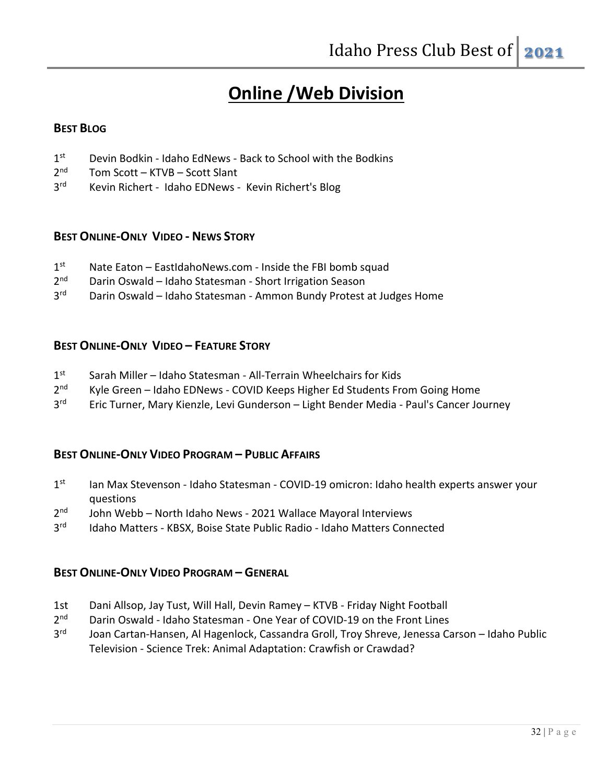# **Online /Web Division**

### **BEST BLOG**

- 1<sup>st</sup> Devin Bodkin Idaho EdNews Back to School with the Bodkins
- 2<sup>nd</sup> Tom Scott KTVB Scott Slant
- 3<sup>rd</sup> Kevin Richert Idaho EDNews Kevin Richert's Blog

#### **BEST ONLINE-ONLY VIDEO - NEWS STORY**

- $1<sup>st</sup>$  Nate Eaton EastIdahoNews.com Inside the FBI bomb squad
- 2<sup>nd</sup> Darin Oswald Idaho Statesman Short Irrigation Season
- 3<sup>rd</sup> Darin Oswald Idaho Statesman Ammon Bundy Protest at Judges Home

#### **BEST ONLINE-ONLY VIDEO – FEATURE STORY**

- 1<sup>st</sup> Sarah Miller Idaho Statesman All-Terrain Wheelchairs for Kids
- 2<sup>nd</sup> Kyle Green Idaho EDNews COVID Keeps Higher Ed Students From Going Home
- 3<sup>rd</sup> Eric Turner, Mary Kienzle, Levi Gunderson Light Bender Media Paul's Cancer Journey

#### **BEST ONLINE-ONLY VIDEO PROGRAM – PUBLIC AFFAIRS**

- 1st Ian Max Stevenson Idaho Statesman COVID-19 omicron: Idaho health experts answer your questions
- $2<sup>nd</sup>$  John Webb North Idaho News 2021 Wallace Mayoral Interviews
- 3<sup>rd</sup> Idaho Matters KBSX, Boise State Public Radio Idaho Matters Connected

#### **BEST ONLINE-ONLY VIDEO PROGRAM – GENERAL**

- 1st Dani Allsop, Jay Tust, Will Hall, Devin Ramey KTVB Friday Night Football
- 2<sup>nd</sup> Darin Oswald Idaho Statesman One Year of COVID-19 on the Front Lines
- 3<sup>rd</sup> Joan Cartan-Hansen, Al Hagenlock, Cassandra Groll, Troy Shreve, Jenessa Carson Idaho Public Television - Science Trek: Animal Adaptation: Crawfish or Crawdad?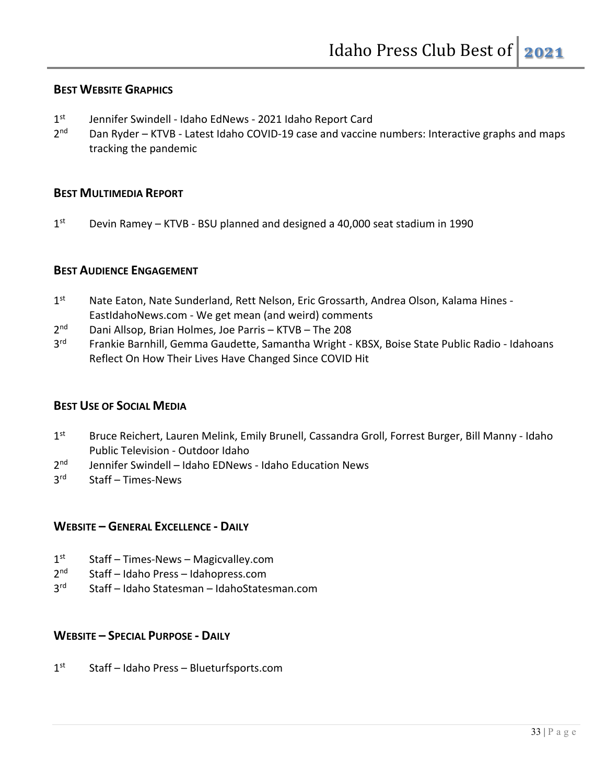#### **BEST WEBSITE GRAPHICS**

- 1<sup>st</sup> Jennifer Swindell Idaho EdNews 2021 Idaho Report Card
- 2<sup>nd</sup> Dan Ryder KTVB Latest Idaho COVID-19 case and vaccine numbers: Interactive graphs and maps tracking the pandemic

### **BEST MULTIMEDIA REPORT**

 $1<sup>st</sup>$  Devin Ramey – KTVB - BSU planned and designed a 40,000 seat stadium in 1990

#### **BEST AUDIENCE ENGAGEMENT**

- 1<sup>st</sup> Nate Eaton, Nate Sunderland, Rett Nelson, Eric Grossarth, Andrea Olson, Kalama Hines -EastIdahoNews.com - We get mean (and weird) comments
- 2nd Dani Allsop, Brian Holmes, Joe Parris KTVB The 208
- 3<sup>rd</sup> Frankie Barnhill, Gemma Gaudette, Samantha Wright KBSX, Boise State Public Radio Idahoans Reflect On How Their Lives Have Changed Since COVID Hit

#### **BEST USE OF SOCIAL MEDIA**

- 1st Bruce Reichert, Lauren Melink, Emily Brunell, Cassandra Groll, Forrest Burger, Bill Manny Idaho Public Television - Outdoor Idaho
- 2<sup>nd</sup> Jennifer Swindell Idaho EDNews Idaho Education News
- 3rd Staff Times-News

#### **WEBSITE – GENERAL EXCELLENCE - DAILY**

- $1<sup>st</sup>$  Staff Times-News Magicvalley.com
- 2nd Staff Idaho Press Idahopress.com
- 3rd Staff Idaho Statesman IdahoStatesman.com

## **WEBSITE – SPECIAL PURPOSE - DAILY**

1<sup>st</sup> Staff – Idaho Press – Blueturfsports.com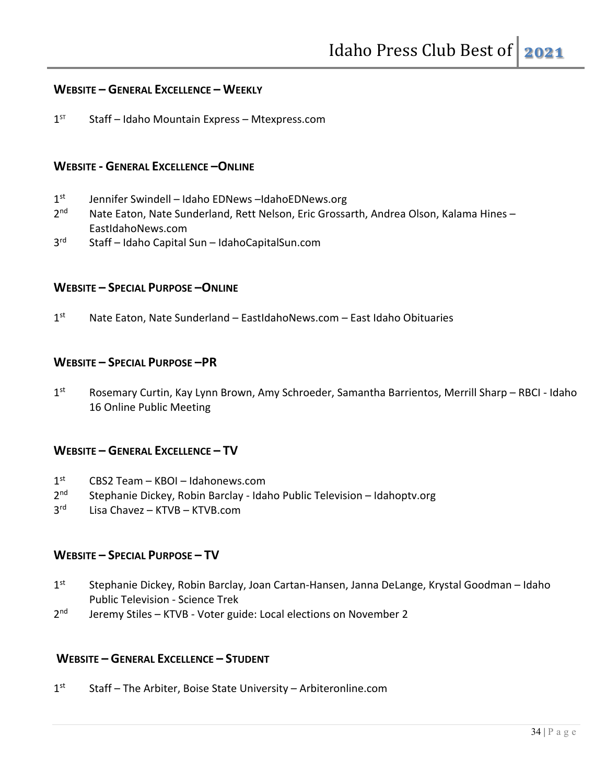#### **WEBSITE – GENERAL EXCELLENCE – WEEKLY**

 $1<sup>ST</sup>$  Staff – Idaho Mountain Express – Mtexpress.com

#### **WEBSITE - GENERAL EXCELLENCE –ONLINE**

- 1<sup>st</sup> Jennifer Swindell Idaho EDNews –IdahoEDNews.org
- 2<sup>nd</sup> Nate Eaton, Nate Sunderland, Rett Nelson, Eric Grossarth, Andrea Olson, Kalama Hines EastIdahoNews.com
- 3rd Staff Idaho Capital Sun IdahoCapitalSun.com

#### **WEBSITE – SPECIAL PURPOSE –ONLINE**

 $1<sup>st</sup>$  Nate Eaton, Nate Sunderland – EastIdahoNews.com – East Idaho Obituaries

#### **WEBSITE – SPECIAL PURPOSE –PR**

1st Rosemary Curtin, Kay Lynn Brown, Amy Schroeder, Samantha Barrientos, Merrill Sharp – RBCI - Idaho 16 Online Public Meeting

#### **WEBSITE – GENERAL EXCELLENCE – TV**

- $1<sup>st</sup>$  CBS2 Team KBOI Idahonews.com
- 2<sup>nd</sup> Stephanie Dickey, Robin Barclay Idaho Public Television Idahoptv.org
- $3<sup>rd</sup>$  Lisa Chavez KTVB KTVB.com

#### **WEBSITE – SPECIAL PURPOSE – TV**

- 1<sup>st</sup> Stephanie Dickey, Robin Barclay, Joan Cartan-Hansen, Janna DeLange, Krystal Goodman Idaho Public Television - Science Trek
- 2<sup>nd</sup> Jeremy Stiles KTVB Voter guide: Local elections on November 2

#### **WEBSITE – GENERAL EXCELLENCE – STUDENT**

 $1<sup>st</sup>$  Staff – The Arbiter, Boise State University – Arbiteronline.com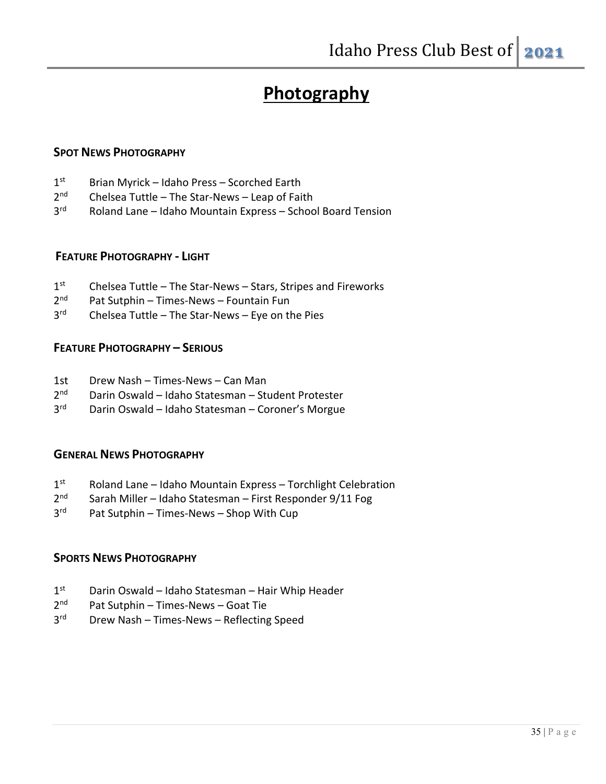# **Photography**

#### **SPOT NEWS PHOTOGRAPHY**

- 1<sup>st</sup> Brian Myrick Idaho Press Scorched Earth
- 2<sup>nd</sup> Chelsea Tuttle The Star-News Leap of Faith
- 3rd Roland Lane Idaho Mountain Express School Board Tension

#### **FEATURE PHOTOGRAPHY - LIGHT**

- 1st Chelsea Tuttle The Star-News Stars, Stripes and Fireworks
- 2<sup>nd</sup> Pat Sutphin Times-News Fountain Fun
- 3rd Chelsea Tuttle The Star-News Eye on the Pies

#### **FEATURE PHOTOGRAPHY – SERIOUS**

- 1st Drew Nash Times-News Can Man
- 2<sup>nd</sup> Darin Oswald Idaho Statesman Student Protester
- 3rd Darin Oswald Idaho Statesman Coroner's Morgue

#### **GENERAL NEWS PHOTOGRAPHY**

- $1<sup>st</sup>$  Roland Lane Idaho Mountain Express Torchlight Celebration
- 2<sup>nd</sup> Sarah Miller Idaho Statesman First Responder 9/11 Fog
- 3<sup>rd</sup> Pat Sutphin Times-News Shop With Cup

#### **SPORTS NEWS PHOTOGRAPHY**

- $1<sup>st</sup>$  Darin Oswald Idaho Statesman Hair Whip Header
- $2<sup>nd</sup>$  Pat Sutphin Times-News Goat Tie
- 3rd Drew Nash Times-News Reflecting Speed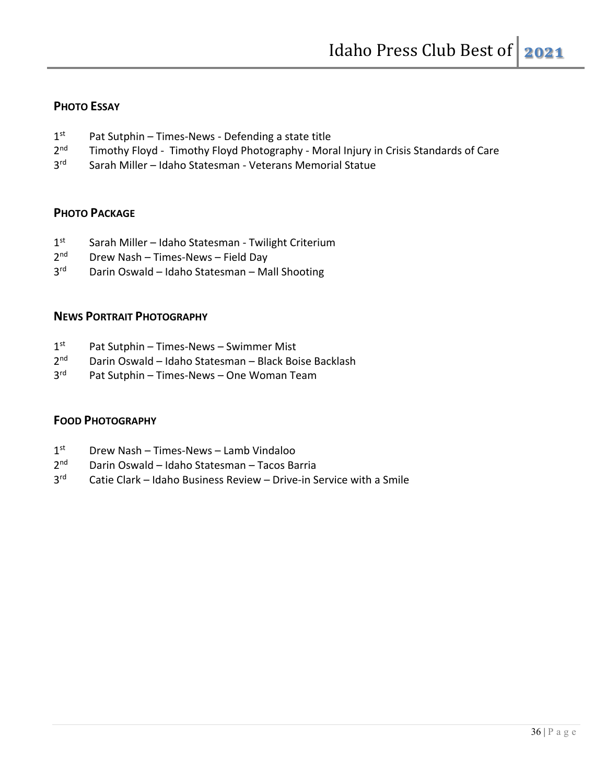## **PHOTO ESSAY**

- $1<sup>st</sup>$  Pat Sutphin Times-News Defending a state title
- 2<sup>nd</sup> Timothy Floyd Timothy Floyd Photography Moral Injury in Crisis Standards of Care
- 3rd Sarah Miller Idaho Statesman Veterans Memorial Statue

## **PHOTO PACKAGE**

- 1<sup>st</sup> Sarah Miller Idaho Statesman Twilight Criterium
- $2<sup>nd</sup>$  Drew Nash Times-News Field Day
- 3<sup>rd</sup> Darin Oswald Idaho Statesman Mall Shooting

## **NEWS PORTRAIT PHOTOGRAPHY**

- $1<sup>st</sup>$  Pat Sutphin Times-News Swimmer Mist
- 2<sup>nd</sup> Darin Oswald Idaho Statesman Black Boise Backlash
- 3<sup>rd</sup> Pat Sutphin Times-News One Woman Team

## **FOOD PHOTOGRAPHY**

- $1<sup>st</sup>$  Drew Nash Times-News Lamb Vindaloo
- 2nd Darin Oswald Idaho Statesman Tacos Barria
- 3rd Catie Clark Idaho Business Review Drive-in Service with a Smile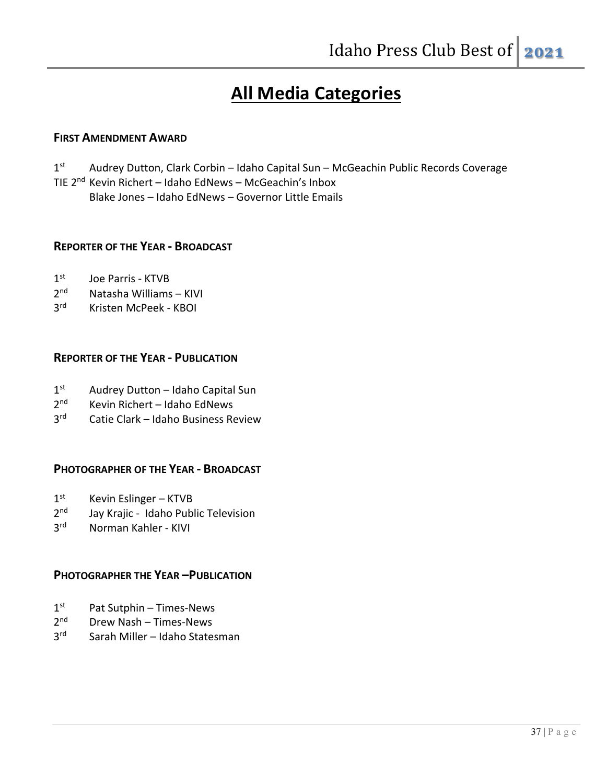## **All Media Categories**

## **FIRST AMENDMENT AWARD**

1<sup>st</sup> Audrey Dutton, Clark Corbin – Idaho Capital Sun – McGeachin Public Records Coverage TIE 2nd Kevin Richert – Idaho EdNews – McGeachin's Inbox Blake Jones – Idaho EdNews – Governor Little Emails

#### **REPORTER OF THE YEAR - BROADCAST**

- 1<sup>st</sup> Joe Parris KTVB
- 2nd Natasha Williams KIVI
- 3rd Kristen McPeek KBOI

#### **REPORTER OF THE YEAR - PUBLICATION**

- 1<sup>st</sup> Audrey Dutton Idaho Capital Sun
- 2<sup>nd</sup> Kevin Richert Idaho EdNews
- 3rd Catie Clark Idaho Business Review

#### **PHOTOGRAPHER OF THE YEAR - BROADCAST**

- $1<sup>st</sup>$  Kevin Eslinger KTVB
- 2<sup>nd</sup> Jay Krajic Idaho Public Television
- 3rd Norman Kahler KIVI

## **PHOTOGRAPHER THE YEAR –PUBLICATION**

- $1<sup>st</sup>$  Pat Sutphin Times-News
- 2nd Drew Nash Times-News
- 3<sup>rd</sup> Sarah Miller Idaho Statesman